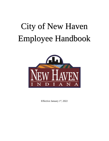# City of New Haven Employee Handbook



Effective January 1st, 2022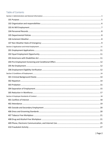# Table of Contents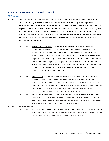# <span id="page-4-0"></span>Section 1 Administration and General Information

## <span id="page-4-1"></span>101 Purpose

- 101.01 The purpose of this Employee Handbook is to provide for the proper administration of the affairs of the City of New Haven (hereinafter referred to as the "City") and to provide a reference for employees about what is expected of the employee and what the employee can expect from the City as an employer. It is written, adopted, and interpreted exclusively by New Haven's Elected Officials, and their designees, and is not subject to modification, change, or contrary interpretation by any employee or employee representative except as may otherwise be specifically authorized and recognized by the laws and/or Constitutions of the State of Indiana and United States.
	- 101.01.01 Role of City Employees. The purpose of City government is to serve the community. Employees of the City are public employees, subject to public scrutiny, with a responsibility to the people, businesses, and visitors of New Haven. The quality of service provided by the City to the people of New Haven depends upon the quality of the City's workforce. Thus, the strength and future of the community depends, in large part, upon employee contributions and employee conduct on the job and the way employees perform their duties. The contact City employees may have with the public are often the only basis on which the City government is judged.
	- 101.01.02 Applicability. All policies and procedures contained within this handbook will apply to all employees, unless otherwise indicated, restricted by proper authority, or prohibited by state or federal law and regulations governing the operation of a department (e.g., the Police, Fire, and EMS Department and Parks Department). All employees are charged with the responsibility of being thoroughly familiar with all provisions of this handbook.
	- 101.01.03 Any statement within a policy or procedure found to be illegal, incorrect, and/or inapplicable will not affect the validity and intent of the remaining content of said policy and procedure. Section titles utilized will not govern, limit, modify or affect the scope of meaning or intent of any provision.

#### 101.02 **Responsibilities**

101.02.01 Each Elected Official, Department Head, and supervisor is responsible for enforcing the provisions of the Employee Handbook and ensuring the policies and procedures are fairly administered and equitably enforced.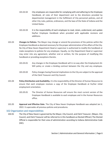- 101.02.02 City employees are responsible for complying with and adhering to the Employee Handbook, all rules of their department and to the directions provided by departmental management in the fulfillment of City personnel policies, and all other City rules, policies, ordinances, and the laws of the State of Indiana and the United States.
- 101.02.03 It is the responsibility of each employee to read, retain, understand, and update his/her Employee Handbook when provided with applicable revisions and additions.
- 101.03 **Changes to Policies.** The Mayor may change or amend the provisions of the policies within the Employee Handbook as deemed necessary for the proper administration of the affairs of the City. No City of New Haven Department Head or supervisor is authorized to modify this handbook or make exceptions to policies for any employee. Equally, no City Department Head or supervisor may enter into any agreement, whether oral or written, for the purpose of modifying this handbook or providing exceptions thereto.
	- 101.03.01 Any changes in the Employee Handbook will in no way alter the Employment-At-Will policy or create a binding contract between the City and any employee.
	- 101.03.02 Policy changes having financial implications to the City are subject to the approval of the Clerk Treasurer and City Council.
- 101.04 **Policy Distribution and Availability.** It is the responsibility of the Director of Human Resources to ensure that each employee receives a copy of the Employee Handbook at his/her initial employment orientation.
	- 101.05.01 The Director of Human Resources will ensure the most current version of the Employee Handbook is available to each employee and in the Human Resources office.
- 101.05 **Approval and Effective Date.** The City of New Haven Employee Handbook was adopted Jan 1, 2022. It supersedes all previous policies and procedures.

## <span id="page-5-0"></span>102 Organization and responsibilities

102.01 The City of New Haven is governed by the Mayor, City Council, and Clerk Treasurer. (Mayor, City Council, and Clerk Treasurer will be referred to in this handbook as Elected Official.) The Elected Official is responsible for their area of administration according to Indiana Administrative Code (IAC).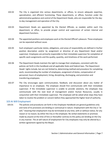- 102.02 The City is organized into various departments, or offices, to ensure adequate expertise, specialization, and efficient functioning. These departments, or offices, function under the administrative guidance and control of the Department Heads, who are responsible for the dayto-day management and operation of the City.
- 102.03 Department Heads are appointed by the Elected Officials, as needed, within each City department, or office, to provide proper control and supervision of certain internal and department functions.
- 102.04 The appointed positions and employees work at the Elected Official's pleasure. These employees can be separated without cause.
- 102.05 Each employee's particular duties, obligations, and areas of responsibility are defined in his/her position description and/or by assignment or directive of any Department Head and/or supervisor. Employees are primarily responsible to their immediate supervisor for completion of specific work assignments and the quality, quantity, and timeliness of the work performed.
- 102.06 The Department Heads maintain the right to manage their employees, consistent with the policies set forth in this handbook and all applicable State and Federal laws. The Department Heads' rights include, but are not limited to, determining method and procedure for completing work, recommending the number of employees, assignment of duties, compensation of personnel, hours of employment, hiring, disciplining, discharging, and promotion and transferring employees.
- 102.07 The City encourages open communication, feedback, and discussion about any matter of importance to an employee. The employee should first communicate with their immediate supervisor. If the immediate supervisor is unable to provide solutions, the employee may communicate with the next level of management and/or Human Resources, usually in conjunction with their immediate supervisor. The employee will be asked what steps they have taken to resolve the problem or concern before they approached the higher level of authority.

## <span id="page-6-0"></span>103 At Will Employment

103.01 The policies and procedures set forth in this Employee Handbook are general guidelines only and none of its provisions are binding or contractual in nature. Employment with the City is "atwill," meaning that employment may be terminated at any time, with or without notice, for any reason or no reason, by either the City or the employee. No verbal statements or promises made by anyone at the time of hire or thereafter contrary to this policy are binding on the City in any manner. The at-will nature of employment for City employees may only be altered by a written agreement signed by the Mayor.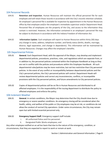# <span id="page-7-0"></span>104 Personnel Records

- 104.01 **Retention and Inspection**. Human Resources will maintain the official personnel file for each employee and will retain those records in accordance with the City's records retention schedule. An employee's personnel file is available for inspection by appointment in the Human Resources office by that employee and/or the employee's immediate supervisor and/or Department Head. Personnel files of employees are the property of the City, and access to the information they contain is restricted. However, the information contained in an employee's personnel file may be subject to disclosure in accordance with the Indiana Freedom of Information Act.
- 104.02 **Information Update**. Each employee will report to Human Resources within thirty (30) days any change in name, address, telephone number, and family status (births, deaths, marriage, divorce, legal separation, and change in dependents). This information will be maintained by Human Resources. Changes may affect the employee's benefits.

## <span id="page-7-1"></span>105 Departmental Policies

- 105.01 **General.** Each Department Head, with the approval of the Mayor, may develop and implement departmental policies, procedures, practices, rules, and regulations which are separate from, or in addition to, the personnel policies contained within the Employee Handbook as long as they are not in conflict with the policies and procedures within this Employee Handbook. All such departmental rules/policies may be more restrictive, but not less restrictive than City personnel policies. In the event of any conflict or incompatibility between departmental policies and the City's personnel policies, the City's personnel policies will control. Department Heads will review departmental policies and correct any inconsistencies, conflicts, or incompatible provisions with the City personnel policies, and future amendments to City personnel policies.
- 105.02 Copies of departmental policies will be on file in Human Resources and distributed to all affected employees. It is the responsibility of the issuing department to distribute the policy to affected employees and enforce the policy.

## <span id="page-7-2"></span>106 Inclement Weather

106.01 **General.** In certain conditions, the Mayor may determine that the City should close due to emergency or severe weather conditions. An emergency closing will be considered when the health, safety, and welfare of the public or City employees may be at risk, or conditions do not allow the conduct of normal City operations. Under some circumstances, the City may remain open but with limited essential personnel only.

## 106.02 **Emergency Support Staff.** Emergency support staff include:

- i. All uniformed Police and Fire personnel.
- ii. Designated Public Works employees; and

Any other employee notified on an ad hoc basis that due to the nature of the emergency, condition, or circumstances, that they are expected to report to work or remain at work.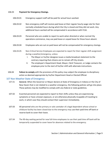#### 106.03 **Payment for Emergency Closings.**

- 106.03.01 Emergency support staff will be paid for actual hours worked.
- 106.03.02 Non-emergency staff will receive paid leave at their regular hourly wage rate for their normally scheduled hours during which the City is closed and they did not work. Any additional hours worked will be compensated in accordance with FLSA.
- 106.03.03 Personnel who are unable to report to work when directed or when normal City operations commence, may use paid leave or unpaid leave for those hours absent.
- 106.03.04 Employees who are out on paid leave will not be compensated for emergency closings.
- 106.03.05 Non-Critical Service Employees are expected to report for their regular shift assignment during a weather/emergency, unless:
	- I. The Mayor or his/her designee issues a media broadcast statement to the contrary requiring that citizens are to remain off City streets.
	- II. The employee's Department Head, Mayor, Clerk Treasurer, or Judge contacts the employee prior to the start of his/her shift with alternate instructions.
- 106.04 **Failure to comply** with the provisions of this policy may subject the employee to disciplinary action as deemed appropriate by his/her Department Head or Elected Official.

#### <span id="page-8-0"></span>107 Non-Weather State of Emergency

- 107.01 **General.** When the Governor or Mayor declare at State of Emergency in Indiana or the City of New Haven that is not related to a weather emergency, the following policies will go into place. These policies may be modified to comply with any federal or state guidelines.
- 107.02 Essential personnel are expected to report to their shifts unless they are experiencing symptoms or have a known exposure, or are otherwise physically incapable of traveling to work, in which case they should contact their supervisor immediately.
- 107.03 All personnel who are the primary or sole caretaker of a legal dependent whose school or childcare facility has been closed due to the emergency may use their paid time off bank or reserve bank to cover their leave.
- 107.04 The 90-day waiting period for new full-time employees to use their paid time off bank will be temporarily suspended to cover leave for absences related to the emergency.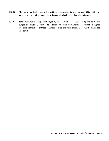- 107.05 The mayor may limit access to City facilities. In these situations, employees will be notified via email, and through their supervisors. Signage will also be placed on all public doors.
- 107.06 Employees who knowingly falsify eligibility for a leave of absence under this provision may be subject to disciplinary action up to and including termination. Should operations be disrupted due to rampant abuse of these enhanced policies, the modifications made may be scaled back or altered.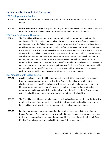# <span id="page-10-0"></span>Section 2 Application and Initial Employment

## <span id="page-10-1"></span>201 Employment Applications

- 201.01 **General.** The City accepts employment applications for vacant positions approved in the budget.
- 201.02 **Record Retention.** Employment applications of job candidates will be maintained on file for the retention period specified by the County/Local Government Retention Schedules.

## <span id="page-10-2"></span>202 Equal Employment Opportunity

202.01 The City will provide equal employment opportunity to all employees and applicants for employment. The City realizes that equal employment opportunity benefits the City and its employees through the full utilization of all human resources. The City has and will continue to provide equal employment opportunity to all qualified persons and reaffirms its commitment that there will be no discrimination against, or harassment of, applicants or employees because of race, color, sex, religion, national origin, age, genetic information, disability, veteran status, sexual orientation, gender identity, or any other protected status. The City will continue to recruit, hire, promote, transfer, take corrective action and make all personnel decisions, including those related to compensation and benefits, non-discriminately and without regard to any protected status in accordance with applicable law. Further, the City will make reasonable accommodations for qualified applicants and employees with known disabilities who can perform the essential job functions with or without such accommodations.

## <span id="page-10-3"></span>203 Americans with Disabilities Act

- 203.01 Qualified individuals with disabilities are not to be excluded from participation in or benefit from the services, programs, or activities of the City. It is the policy of the City not to discriminate against a qualified individual with a disability in job application procedures; the hiring, advancement, or dismissal of employees; employee compensation, job training; and other terms, conditions, and privileges of employment. It is the intent of the City to comply with all applicable requirements of the Americans with Disabilities Act (ADA).
- 203.02 The City will reasonably accommodate persons with a disability on a case-by-case basis, which may include making facilities readily accessible to individuals with a disability, restructuring jobs, modifying work schedules and/or equipment, or similar accommodations.
- 203.03 Employees who require an accommodation should inform their immediate supervisor or Human Resources. Such employees may be required to provide medical information necessary to determine appropriate accommodations as identified by regulation and subject to HIPAA Medical Privacy Laws and other applicable state and federal regulations.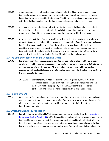- 203.04 Accommodations may not create an undue hardship for the City or other employees. An individual who cannot be reasonably accommodated for a job without imposing an undue hardship may not be selected for that position. The City will engage in an interactive process with the individual to determine whether a reasonable accommodation is available.
- 203.05 All employees are required to comply with safety standards. Individuals who pose a direct threat to the health or safety of other individuals in the workplace, and where the threat cannot be eliminated by reasonable accommodation, may not be hired, or retained.
- 203.06 Generally, a "direct threat" means a significant risk to the health or safety of themselves or others that cannot be eliminated by reasonable accommodation. Benefits provided to disabled individuals who are qualified to perform the work must be consistent with the benefits provided to other employees. Any individual who believes he/she has received treatment inconsistent with the policies set forth above or any other requirement of ADA, may file a complaint with the ADA Coordinator, Elected Official(s), or Human Resources.

# <span id="page-11-0"></span>204 Pre-Employment Screening and Conditional Offers

- 204.01 **Pre-employment Screening.** Applicants selected for hire and provided conditional offers of employment will be required to successfully complete pre-screening requirements that may be deemed appropriate for the position. All pre-employment screening will be conducted in accordance with applicable federal and state employment laws and will be kept confidential to the greatest extent possible.
	- 204.01.01 **Confidentiality of Medical Records.** Unless required by law, all medical information obtained in an examination by a physician designated and paid for by the City will be the property of the City. All records are considered confidential and will be maintained separate from all personnel files.

## <span id="page-11-1"></span>205 Re-Employment

205.01 Consideration for re-employment of any former employee may be granted to those applicants who have demonstrated acceptable prior service. Employees who leave the employment of the City and are re-hired will be treated as new hires with respect to their hire date, service, benefits, and longevity.

## <span id="page-11-2"></span>206 Employment Eligibility Verification

206.01 Form I-9, Employment Eligibility Verification, requirements are set forth by the *Immigration* [Reform and Control Act of 1986](https://www.uscis.gov/node/46049) (IRCA). IRCA prohibits employers from hiring and employing an individual for employment in the U.S. knowing that the individual is not authorized with respect to such employment. Employers also are prohibited from continuing to employ an individual knowing that he or she is unauthorized for employment. This law also prohibits employers from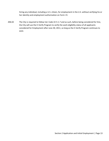hiring any individual, including a U.S. citizen, for employment in the U.S. without verifying his or her identity and employment authorization on Form I-9.

206.02 The City is required to follow Ind. Code 22-5-1.7 and as such, before being considered for hire, the City will use the E-Verify Program to verify the work eligibility status of all applicants considered for Employment after June 30, 2011, so long as the E-Verify Program continues to exist.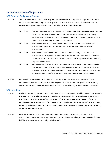# <span id="page-13-0"></span>Section 3 Conditions of Employment

## <span id="page-13-1"></span>301 Criminal Background Checks

- 301.01 The City will conduct criminal history background checks to bring a level of protection to the City and to vulnerable program participants who are unable to protect themselves and to ensure employment applicants can successfully perform their job duties.
	- 301.01.01 **Contract Instructors.** The City will conduct criminal history checks on all contract instructors who provide recreation, athletic or other similar programming services that involve the care of or access to a minor, an elderly person and/or a person who is mentally or physically impaired.
	- 301.01.02 **Employee Applicants.** The City will conduct criminal history checks on all employment applicants who have been provided a conditional offer of employment.
	- 301.01.03 **Employees.** The City will conduct annual criminal background checks on employees whose positions require the performance of a service that involves care of or access to a minor, an elderly person and/or a person who is mentally or physically impaired.
	- 301.01.04 **Volunteer Applicants.** Prior to beginning service as a volunteer, and annually thereafter, criminal history checks will be conducted for volunteer applicants who will perform volunteer services that involve the care of or access to a minor, an elderly person and/or a person who is mentally or physically impaired.
- 301.02 **Review of Criminal History.** A criminal conviction does not serve as an automatic bar to employment, contract work, or volunteering with the City. Rather, disqualification will only occur after an individualized assessment and will be based on a justified business necessity.

## <span id="page-13-2"></span>302 Nepotism

- 302.01 Under IC 36-1-20.2, individuals who are relatives may not be employed by the City in a position that results in one relative being in direct line supervision of the other relative. A person is in the "direct line of supervision" of an Elected Officer or employee if the Elected Officer or employee is in the position to affect the terms and conditions of the individual's employment, including making decisions about work assignment, compensation, grievances, advancements, or performance evaluation.
- 302.02 Relative is defined as spouse, parent or stepparent, child or stepchild, brother, sister, stepbrother, stepsister, niece, nephew, aunt, uncle, daughter-in-law, or son-in-law (including half-brothers and sisters and adopted children).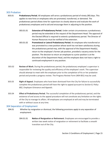# <span id="page-14-0"></span>303 Probation

- 303.01 **Probationary Period.** All employees will serve a probationary period of ninety (90) days. This applies to new hires or employees who are promoted, transferred, or demoted. The probationary period allows time for supervisors to closely observe and evaluate the work of probationary employees and to aid and encourage them in adjusting to the position.
	- 303.01.01 **Extension of Probationary Period.** Under certain circumstances a probationary period may be extended at the request of the Department Head. The approval of the Elected Official is required to extend a probationary period. The Director of Human Resources must be notified of the extension.
	- 303.01.02 **Promotional or Lateral Probationary Period.** An employee who transferred or was promoted to a new position whose work has not been satisfactory during the probationary period may, with the approval of the Department Head(s), return to the employee's former job position, provided a vacancy exists for the position. The decision to return an employee to a prior position is at the discretion of the Department Head, and the employee does not have a right to continued employment in any position.
- 303.02 **Review of Work.** During the probationary period, the probationary employee's supervisor is responsible for reviewing the quality and efficiency of the employee's work. The supervisor should attempt to meet with the employee prior to the completion of his or her probation period and provide a progress review. The Progress Review Form (404-001) may be used.
- 303.03 **Right of Appeal.** Employees who have been dismissed from the City for failure to successfully complete the probationary period will have the right to appeal pursuant to *Section 8, Policy 802, Employee Grievance and Appeals*.
- 303.04 **Effect of Probationary Period.** The successful completion of the probationary period, and the existence of and access to the appeal procedure will not constitute any limitation on the rights of the City to manage its affairs. All employees are employed at-will and may be terminated with or without cause at any time.

## <span id="page-14-1"></span>304 Separation of Employment

- 304.01 Whether by resignation or dismissal, the following provisions apply to any separation of employment.
	- 304.01.01 **Notice of Resignation or Retirement.** Employees are encouraged to provide a written two week notice of resignation or retirement to facilitate a smooth transition out of the City.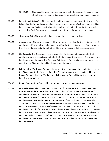304.01.02 **Dismissal.** Dismissal must be made by, or with the approval from, an elected official, governing body or board, and a representative from human resources.

- 304.02 **Pay in Lieu of Notice.** The City reserves the right to provide an employee with two weeks' pay in lieu of notice in situations where job or business needs warrant. Such a decision should not be perceived as reflecting negatively on the employee, given that it may be due to a variety of reasons. The Clerk Treasurer will be consulted prior to providing pay in lieu of notice.
- 304.03 **Separation Date.** The separation date is the employee's last day worked.
- 304.04 **Accrued Leave.** The use of accrued paid leave may not be used during the last two weeks of employment. If the employee takes paid time off during the last two weeks of employment, then the last day worked prior to their paid time off will become their separation date.
- 304.05 **City Property.** The Department Head is responsible for the separation process for their employees and is to establish an exit "check-off" list of department specific City property and intellectual property issued. The Employee Exit Checklist Form can be used for non-specific departmental City property and intellectual property issued.
- 304.06 **Exit Interview.** The Human Resources Department will offer an employee voluntarily leaving the City an opportunity for an exit interview. The exit interview will be conducted by the Human Resources Director. The Employee Exit Interview Form will be used to record the interview information.
- 304.07 **Health Coverage Benefits.** Health coverage ends the on the separation date.
- 304.08 **Consolidated Omnibus Budget Reconciliation Act (COBRA).** Separating employees, their spouses, and/or dependents that are enrolled in the City's group health insurance and/or dental insurance at the time of separation may elect to continue participating in the group health insurance and /or dental insurance plan through COBRA. COBRA offers separated employees and their families a temporary extension of medical benefits coverage (called "continuation coverage") at group rates in certain instances where coverage under the plan would otherwise end; i.e. employee's resignation, termination, or reduction in hours of employment; death of spouse, termination of spouse's employment, or reduction in spouse's hours of employment; divorce or legal separation; spouse becomes eligible for Medicare; or any other qualifying reason as defined by COBRA. Paperwork will be sent to the separated employee's home address. Contact Human Resource for additional information regarding health coverage.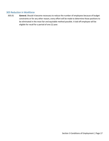# <span id="page-16-0"></span>305 Reduction in Workforce

305.01 **General.** Should it become necessary to reduce the number of employees because of budget constraints or for any other reason, every effort will be made to determine those positions to be eliminated in the most fair and equitable method possible. A laid off employee will be eligible for recall for a period of one (1) year.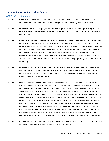# <span id="page-17-0"></span>Section 4 Employee Standards of Conduct

#### <span id="page-17-1"></span>401 Conflicts of Interest

- 401.01 **General.** It is the policy of the City to avoid the appearance of conflict of interest in City employee activities and to provide definitive guidelines in avoiding such appearances.
- 401.02 **Conflict of Duties.** No employee will use his/her position with the City for personal gain, nor will he/she engage in any business or transaction, which is in conflict with the proper discharge of his/her duties.
- 401.03 **Acceptance of Any Valuable Gratuity.** No employee will accept any valuable gratuity, whether in the form of a payment, service, loan, item, or promise from any person, firm, or corporation which is interested directly or indirectly in any manner whatsoever in business dealings with the City; nor will employees accept any valuable gift, favor, or item that may tend to influence an employee in the discharge of his/her duties. No employee will grant any improper favor, service, or item in the discharge of his/her duty. No employee will, without proper and legal authorization, disclose confidential information concerning the property, government, or affairs of the City.
- 401.04 **Improper to Sell or Provide Services.** It is improper for any employee to sell or provide at an additional cost any good or services to any other City or utility department, citizen business or industry except as the result of an open bidding process in which such goods or services are subject to control of another party.
- 401.05 **Financial Interest or Gain.** A City employee may not knowingly have a financial interest in a contract made by another department/area. This prohibition, however, does not apply to an employee of the City who does not participate in or have official responsibility for any of the activities of the contracting agency, provided certain criteria are met. All new or renewed contracts for goods, services or public works must be made in compliance with the contracting agency. Under Indiana Code any Boards, Commissions, purchasing agencies or agents may not enter a contract or renew a contract or renew a contract for public works or procurement of goods and services with a relative or a business entity that is wholly or partially owned by a relative of an employee or executive for the City unless the requirements of the statute are met. These requirements include the employee to complete the Uniform Conflict of Interest Disclosure Statement (Indiana State Form 236). The Clerk Treasurer will file the completed form with the State Board of Accounts within 15 days after final action on the contract or purchase.
- 401.06 It is illegal to accept or benefit in any way by influencing the awarding of a contract or purchase of good or service or to influence performing of City services.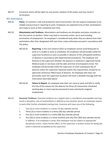401.07 Corrective action will be taken for any proven violation of this policy and may result in termination.

## <span id="page-18-0"></span>402 Attendance

- 402.01 **Policy.** To maintain a safe and productive work environment, the City expects employees to be reliable and punctual in reporting to work. Employees are expected to be at their workstations and ready to work at their scheduled start time.
- 402.02 **Absenteeism and Tardiness.** Absenteeism and tardiness are disruptive and place a burden on the City and on co-workers. Either may lead to corrective action, up to and including termination of employment. An employee is considered tardy when they are absent from their workstation after their designated shift start time, unless otherwise excused in accordance with this policy.
	- 402.02.01 **Reporting.** In the rare instance when an employee cannot avoid being late to work or is unable to work as scheduled, the employee will personally notify the supervisor by phone as soon as possible in advance of the anticipated tardiness or absence in accordance with departmental procedures. The employee will disclose to the supervisor whether the absence or tardiness is approved Family Medical Leave or sick leave and the date and time of anticipated arrival. The employee will personally notify the supervisor on each subsequent day of absence unless the supervisor expressly waives this requirement, except for an approved continuous FMLA leave of absence. An employee who does not personally reach the supervisor by phone will leave a detailed message with the information described above.
	- 402.02.02 **Failure to Report.** An employee who does not come to work and fails to notify the City of the reasons for the absence for three (3) consecutive scheduled working days or more may be presumed to have voluntarily resigned employment.
- 403.01 **Excessive Tardiness.** Excessive tardiness on a regular basis is considered unacceptable and may result in discipline. Late arrival/tardiness is defined as any situation where an employee reports to work after his/her scheduled starting time. Excessive will mean any of the following:
	- i. Two (2) or more incidents in a seven (7) day calendar period.
	- ii. Three (3) or more incidents in a thirty (30) day calendar period.
	- iii. Five (5) or more incidents in a ninety (90) day calendar period.
	- iv. Ten (10) or more incidents in a three hundred and sixty-five (365) day calendar period. In addition, if an employee is tardy, that employee may be subject to appropriate disciplinary action, unless he/she offers, to the supervisor a written reason for being late which is deemed acceptable by the supervisor.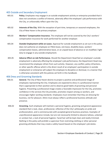# <span id="page-19-0"></span>405 Outside and Secondary Employment

- 405.01 **Policy.** Employees may engage in an outside employment activity or enterprise provided that it does not constitute a conflict of interest, adversely affect the employee's job performance with the City, or unfavorably reflect upon the City.
- 405.02 **Interests of the City.** With the exception of part-time, temporary or seasonal employees, the City of New Haven is the primary employer.
- 405.03 **Workers' Compensation Insurance.** The employee will not be covered by the City's workers' compensation insurance for work performed for another employer.
- 405.04 **Outside Employment while on Leave.** Approval for outside employment as set out in this policy does not authorize an employee on FMLA leave, sick leave, disability leave, workers' compensation leaves, administrative leave, or an unpaid leave of absence or on modified / light duty to engage in any outside employment.
- 405.05 **Adverse Effect on Job Performance.** Should the Department Head feel an employee's outside employment is adversely affecting the employee's job performance, the Department Head may recommend the employee refrain from such activity. However, any conflict, policy infractions, or other specific offense which is the direct result of an employee's participation in outside employment or enterprise will subject the employee to discipline or dismissal, in a manner that is otherwise consistent with the policies set forth in this handbook.

## <span id="page-19-1"></span>406 Dress and Grooming Standards

- 406.01 **General.** The City of New Haven desires to project a positive and professional image of employees representing the City. Employees are expected to dress in a professional manner that is appropriate to their position and to observe good habits of grooming and personal hygiene. Presenting a professional image creates a favorable impression for the City, promotes confidence in the services the City provides, promotes respect among co-workers, and encourages higher working standards. Employees must remember that they are dressing for business, not for pleasure. Attire must always reflect a professional business attitude and presence.
- 406.02 **Grooming.** Each employee will maintain a personal hygiene, grooming and general appearance standard that is neat, clean, professional, reflective of the City's philosophy on pride and professionalism, and is commensurate with accepted general business practices. Examples of unprofessional appearance include, but are not necessarily limited to obscene tattoos, unkempt or unclean hair, a lack of personal hygiene. Facial hair will be kept clean and neatly trimmed. Nothing in this policy will prohibit a supervisor from restricting clothing or other personal grooming attributes that may create a safety hazard based on the employee's job duties.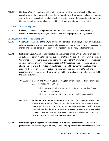406.03 **City Logo Wear.** An employee will refrain from wearing attire that displays the City's logo except when on duty, representing the City, or in route to or from such duty. Further, wearing such attire while engaging in conduct or activity that by virtue of the association discredits the City or places either the employee or the City in disrepute or discredit is prohibited.

## <span id="page-20-0"></span>407 Tobacco Free Workplace

407.01 **General.** All employees are prohibited from the use of all tobacco products, including smokeless electronic cigarettes, at any time while on City property or in City vehicles.

## <span id="page-20-1"></span>408 Drug and Alcohol-Free Workplace

- 408.01 **General.** It is the desire of the City to provide an alcohol and drug-free, healthy, productive, and safe workplace. To promote this goal, employees are required to report to work in appropriate mental and physical condition to perform their jobs in a satisfactory and safe manner.
- 408.02 **Prohibition against Alcohol and Illegal and Unauthorized Drugs.** While on City premises, while on duty, while conducting City-related business or other activities off premises, while driving a City-owned or leased vehicle, or while operating or using other City-owned or leased property or equipment, no employee may use, possess, distribute, sell, or be under the influence of alcohol (except under the limited circumstances described below), inhalants, illegal drugs, including drugs which are legally obtainable but which were not legally obtained, and prescribed or over-the-counter drugs which are not being used as prescribed or as intended by the manufacturer.
	- 408.02.01 **On-duty and Pre-duty Use.** Reporting for, or remaining on, duty is prohibited under the following conditions:
		- i. While having a breath alcohol concentration of greater than 0.00 as indicated via breath test.
		- ii. While using alcohol; or within four (4) hours after using alcohol.
	- 408.02.02 **Prohibited Drug Use.** An employee will not report for duty or remain on duty when using or after use of any controlled substances, except when the use is pursuant to the instructions of a licensed medical practitioner who has advised the employee that the substance will not adversely affect the employee's ability to safely operate a City-owned or leased vehicle, or while operating or using other City-owned or leased property or equipment.
- 408.03 **Prohibition against Illegal and Unauthorized Drug-Related Paraphernalia.** This policy also prohibits the use, possession, distribution, and sale of drug-related paraphernalia while on City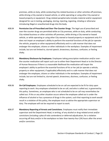premises, while on duty, while conducting City-related business or other activities off premises, while driving a City-owned or leased vehicle, or while operating or using other City-owned or leased property or equipment. Drug-related paraphernalia includes material and/or equipment designed for use in testing, packaging, storing, injecting, ingesting, inhaling or otherwise introducing illegal or unauthorized drugs into the body.

- 408.04 **Permissive Use of Prescribed and Over-The-Counter Drugs.** The legal use of prescribed and over-the-counter drugs are permitted while on City premises, while on duty, while conducting City-related business or other activities off premises, while driving a City-owned or leased vehicle, or while operating or using other City-owned or leased property or equipment only if it does not impair an employee's ability to perform the essential functions of the job (or operate the vehicle, property or other equipment) effectively and in a safe manner that does not endanger the employee, citizens or other individuals in the workplace. Examples of impairment include, but are not limited to, slurred speech, drowsiness, dizziness, confusion, or feeling shaky.
- 408.05 **Mandatory Disclosure by Employees.** Employees taking prescription medication and/or overthe-counter medication will report such use to either their Department Head or to the Director of Human Resources if there is a reasonable likelihood the medication will impair the employee's ability to perform the essential functions of his or her job (or operate a vehicle, property or other equipment, if applicable) effectively and in a safe manner that does not endanger the employee, citizens or other individuals in the workplace. Examples of impairment include, but are not limited to, slurred speech, drowsiness, dizziness, confusion, or feeling shaky.
- 408.06 **On-Call Employees.** Employees scheduled to be on call are expected to be fit for duty upon reporting to work. Any employee scheduled to be on call, and who is called out, is governed by this policy. Sometimes, an employee who is not scheduled to be on call may nevertheless be called out. If this or any other situation occurs where the employee called out is under the influence of alcohol or has a presence of drugs in the system, such that reporting to work would result in a violation of this policy, the employee must so advise the appropriate supervisor on duty. The employee will not be required to report to work.
- 408.07 **Mandatory Reporting of Arrests and Convictions.** Employees must notify their immediate supervisor and the Department Head, in writing, of any alcohol or drug-related arrest and/or convictions (including a plea of nolo contendere) or deferred adjudication, for a violation occurring off duty and/or in the workplace no later than twenty-four (24) hours after the arrest and/or conviction.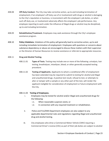- 408.08 **Off-Duty Conduct.** The City may take corrective action, up to and including termination of employment, if an employee's off-duty use of or involvement with drugs or alcohol is damaging to the City's reputation or business, is inconsistent with the employee's job duties, or when such off-duty use, or involvement adversely affects the employee's job performance. Any employee reporting to work under the influence of illegal drugs or alcohol may be disciplined, up to and including termination.
- 408.09 **Rehabilitation/Treatment.** Employees may seek assistance through the City's employee assistance program.
- 408.10 **Policy Violations.** Violations of this policy will generally lead to corrective action, up to and including immediate termination of employment. Employees with questions or concerns about substance dependency or abuse are encouraged to discuss these matters with their supervisor or the Director of Human Resources to receive assistance or referrals to appropriate resources.

## 408.11 **Drug and Alcohol Testing.**

- 408.11.01 **Types of Tests.** Testing may include one or more of the following: urinalysis, hair testing, breathalyzer, intoxilyzer, blood, or other generally accepted testing procedure.
- 408.11.02 **Testing of Applicants.** Applicants to whom a conditional offer of employment has been extended may be required to submit to testing for alcohol and illegal and unauthorized drugs. A positive test result, refusal to test, or attempts to alter or tamper with a sample or any other part of the test, will render the applicant ineligible for consideration of employment or future employment with the City.

## 408.11.03 **Testing of Employees.**

- i. Employees may be tested for alcohol and/or illegal and unauthorized drugs for the following:
	- i.1. When reasonable suspicion exists; or
	- i.2. In connection with any required treatment or rehabilitation.
- ii. Police and Fire/EMS Department employees are also subject to any applicable departmental rules and regulations regarding illegal and unauthorized drug and alcohol testing.
- iii. City employees who drive a Commercial Motor Vehicle (CMV) requiring a Commercial Driver's License (CDL) as part of their job duties are subject to alcohol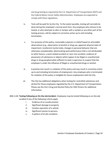and drug testing as required by the U.S. Department of Transportation (DOT) and the Federal Motor Carrier Safety Administration. Employees are expected to comply with these regulations.

- iv. Tests will be paid for by the City. To the extent possible, testing will normally be done during the employee's normal work time. Any employee who refuses to be tested, or who attempts to alter or tamper with a sample or any other part of the testing process, will be subject to corrective action up to and including termination.
- v. For purposes of this policy, reasonable suspicion is a belief based on articulable observations (e.g., observation of alcohol or drug use, apparent physical state of impairment, incoherent mental state, changes in personal behavior that are otherwise unexplainable, deteriorating work performance that is not attributable to other factors, a work-related accident or near miss accident, evidence of possession of substances or objects which appear to be illegal or unauthorized drugs or drug paraphernalia) sufficient to lead a supervisor to suspect that the employee is under the influence of illegal or unauthorized drugs or alcohol.
- vi. A positive test result is a violation of this policy and may result in corrective action up to and including termination of employment. Any employee who is terminated for violation of this policy is ineligible for future employment with the City.
- vii. The City has additional obligations when testing for controlled substances and alcohol for those employees regulated by the U.S. Department of Transportation. Please see the City's Drug and Alcohol Policy for CMV Drivers for additional information.
- 408.11.04 **Testing Following an On-the-Job Accident.** Employees may be tested following an on-the-job accident if any of the following criteria apply
	- i. Evidence of an unsafe practice
	- ii. Significant damage to property
	- iii. Careless operation of a vehicle
	- iv. Significant injuries to persons
	- v. A pattern of erratic accidents.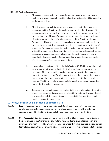#### 408.11.05 **Testing Procedures.**

- i. All substance abuse testing will be performed by an approved laboratory or healthcare provider chosen by the City. All positive test results will be subject to confirmation testing.
- ii. All testing must normally be authorized in advance by both the employee's supervisor and the Director of Human Resources or his or her designee. If the supervisor, or his or her designee, is unavailable within a reasonable period of time, the Director of Human Resources or his or her designee may, with sole discretion, authorize the testing of an employee. If the Director of Human Resources, or his or her designee, is unavailable within a reasonable period of time, the Department Head may, with sole discretion, authorize the testing of an employee. For reasonable suspicion testing, testing may not be authorized without the supervisor's documentation of the articulable factors which led the supervisor to suspect that the employee is under the influence of illegal or unauthorized drugs or alcohol. Testing should be arranged as soon as possible after the supervisor's articulable observations.
- iii. If an employee meets any of the criteria in Section 407.11.03, the employee will be provided with transportation to the testing facility. A supervisor or other designated City representative may be required to stay with the employee during the testing process. The City may, in its discretion, reassign the employee or put the employee on administrative leave with pay until the test results are received. The City will make arrangements to have the employee transported home after the testing if necessary.
- iv. Test results will be maintained in a confidential file separate and apart from the employee's personnel file. Any medical-related information will be confidential and accessible only by Human Resources; Elected Officials and Department Heads on a need-to-know basis.

## <span id="page-24-0"></span>409 Phone, Electronic Communication, and Internet Use

- 409.01 **Scope.** The guidelines specified in this policy apply to all regular and part-time, seasonal employees, contract personnel, and volunteers whose access to or use of the technology systems is funded by the City or is available through equipment owned by the City.
- 409.02 **User Responsibilities.** Employees are representatives of the City in all their communications. Responsible use of the City's technology systems requires discretion, professionalism, and awareness of potential liability. Employees should be aware that when they are utilizing certain technology systems, they are creating City documents. Employees must understand at all times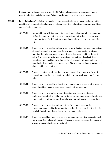that communication and use of any of the City's technology systems are matters of public record under the Public Information Act and may be subject to discovery requests.

- 409.03 **Policy Guidelines.** The following guidelines have been established for using the Internet, Cityprovided cell phones, tablets, laptops, e-mail, and other technology in an appropriate, ethical, and professional manner:
	- 409.03.01 Internet, City-provided equipment (e.g., cell phone, laptops, tablets, computers, etc.) and services will not be used for transmitting, retrieving, or storing any communications of a defamatory, discriminatory, harassing, or pornographic nature.
	- 409.03.02 Employees will not use technology to play or download any games, communicate disparaging, abusive, profane or offensive language; create, view or display materials that might adversely or negatively reflect upon the City or be contrary to the City's best interests; and engage in any gambling or illegal activities, including piracy, cracking, extortion, blackmail, copyright infringement, and unauthorized access of any computers and City-provided equipment such as cell phones, tablets and laptops.
	- 409.03.03 Employees obtaining information may not copy, retrieve, modify or forward copyrighted materials, except with permission or as a single copy to reference only.
	- 409.03.04 Employees will not use the system in a way that disrupts its use by others such as streaming video, music or other media that is not work related.
	- 409.03.05 Employees will not interfere with or disrupt network users, services or equipment including but not limited to: damaging equipment, spreading viruses, impersonating another user, or destroying communications or electronic files.
	- 409.03.06 Employees will not use technology systems for personal gain, outside employment, personal business operations, other financial profit or to advertise or solicit funds for political, religious, or other personal causes.
	- 409.03.07 Employees should not open suspicious e-mails, pop-ups, or downloads. Contact Information Technology with any questions or concerns to reduce the release of viruses or to contain viruses immediately.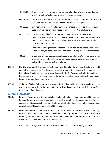- 409.03.08 Employees will ensure that all technology related purchases are coordinated with Information Technology prior to the actual purchase.
- 409.03.09 Internal and external e-mails are considered business records and are subject to the Public Information Act and may be released upon request.
- 409.03.10 City network user login and password information will not be shared with or used by other individuals or stored in an unsecured / visible location.
- 409.03.11 Employees should refrain from making personal calls, personal instant messaging, and personal text messaging, tweeting, or interacting with all social media during the work hours regardless of whether the equipment used is company provided or not.

Receiving or making personal telephone calls during work hours should be limited. When possible, calls should be made and received during breaks and lunch times.

- 409.03.12 Employees will not make personal, long distance calls using City telephones without prior supervisor authorization and, in all cases, charges for long distance personal calls will be reimbursed by the employee.
- 409.04 **Right to Monitor.** All City-supplied technology and City-related work records belong to the City and not to the employee. The City reserves the right to monitor the use of City supplied technology. E-mails are retained in accordance with the City's document retention policy. Inappropriate or illegal use or communications may be subject to corrective action up to and including termination of employment.
- 409.05 **Violation of Policy Guidelines.** Any violation of this policy and its guidelines may be subject to corrective action, including but not limited to the loss of access and other privileges, and/or termination of employment.

## <span id="page-26-0"></span>410 Fraudulent Activity

- 410.01 **Purpose.** The purpose of this policy is to establish a fraud policy that requires all City business to be performed with integrity and subject to the highest ethical standards possible. To accomplish this purpose, this policy establishes rules that define unacceptable behavior and prevent fraud. This policy applies to all City employees.
- 410.02 **Prohibited Conduct.** Fraudulent conduct is strictly prohibited in the performance of any City business. Fraudulent conduct means the intentional misappropriation of City assets by any act including, but not limited to, theft, embezzlement, and intentional misrepresentation. Acts constituting fraud include but are not limited to:
	- 410.02.01 Forgery or alteration of any document or account belonging to the City.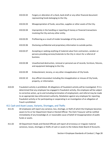- 410.02.02 Forgery or alteration of a check, bank draft or any other financial document representing funds belonging to the City.
- 410.02.03 Misappropriation of funds, securities, supplies or other assets of the City.
- 410.02.04 Impropriety in the handling or reporting of money or financial transactions involving the City and any other entity.
- 410.02.05 Profiteering as a result of insider knowledge of City activities.
- 410.02.06 Disclosing confidential and proprietary information to outside parties.
- 410.02.07 Accepting or seeking anything of material value from contractors, vendors or persons providing services/materials to the City in return for a referral of business.
- 410.02.08 Unauthorized destruction, removal or personal use of records, furniture, fixtures, and equipment belonging to the City.
- 410.02.09 Embezzlement, larceny, or any other misapplication of City funds.
- 410.02.10 Any official misconduct including the misapplication or misuse of City funds, property, or information.
- 410.03 Fraudulent activity is prohibited. All allegations of fraudulent activity will be investigated. If it is determined that any employee has engaged in fraudulent activity, the employee will be subject to corrective action, up to and including termination of employment, and referral may be made to an appropriate law enforcement authority. Retaliation against any employee for reporting fraudulent activity or for participating or cooperating in an investigation of an allegation of fraud is prohibited.

#### <span id="page-27-0"></span>411 Cash and Asset Losses, Variants, Shortages, and Thefts

- 411.01 All employees will report any variance, loss, shortage, or theft of which the Employee becomes aware to his or her Department Head or Elected Official. The Clerk Treasurer will be notified immediately of any knowledge of, or reasonable cause of belief of misappropriation of public funds or assets.
- 411.02 All Department Heads and Elected Officials will report all erroneous or irregular material variances, losses, shortages or thefts of cash or assets to the Indiana State Board of Accounts.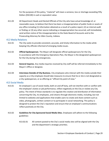For the purposes of this policy, "material" will mean a variance, loss or shortage exceeding Fifty Dollars (\$50.00) in cash or equivalent value.

411.03 All Department Heads and Elected Officials of the City who have actual knowledge of, or reasonable cause, to believe that there has been a misappropriation of public funds or assets of any office including (1) information obtained as a result of a police report; (2) an internal audit or finding; or (3) any other source indicating a misappropriation has occurred, will immediately send written notice of the misappropriation to the State Board of Accounts and to the Prosecuting Attorney for Allen County, Indiana.

## <span id="page-28-0"></span>412 Media Relations

- 412.01 The City seeks to provide consistent, accurate, and timely information to the media while keeping City officials informed of emerging media issues.
- 412.02 **Official Spokesperson.** The Mayor will designate official spokespersons for the City. In accordance with the Emergency Operations Plan, the Mayor is the designated spokesperson for the City during City emergencies.
- 412.03 **General Inquires.** Any media inquiries received by City staff will be referred immediately to the Mayor's Office or designee.
- 412.04 **Interviews Outside of City Business.** City employees who interact with the media outside their capacity as a City employee should take measures to ensure that he or she is not designated as a City spokesperson, or as offering an "official City point of view."

## <span id="page-28-1"></span>413 Social Media

- 413.01 An employee's use of social media, both on and off duty, will not interfere with or conflict with the employee's duties or job performance, reflect negatively on the City or violate any City policy. The intent of these standards is to regulate the creation and distribution of information concerning the City, its employees, and citizens through electronic media, including, but not limited to websites and applications that enable users to create and share content such as video, photographs, written content or to participate in social networking. This policy is designed to protect the City's reputation and ensure that an employee's communications reflect positively on the City.
- 413.02 **Guidelines for City Sponsored Social Media Sites.** Employees will adhere to the following guidelines:
	- 413.02.01 All content posted to the City's social media sites will be aligned with the City and the department's strategic priorities.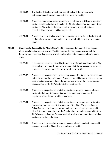- 413.02.02 The Elected Officials and the Department Heads will determine who is authorized to post on social media sites on behalf of the City.
- 413.02.03 Employees must obtain authorization from their Department Head to update or post on social media sites on behalf of the City. Employee time spent updating or posting on City social media sites as part of the employee's job duties is considered hours worked and is compensable.
- 413.02.04 Employees will not disclose confidential information on social media. Posting of confidential information may violate state law and subject the user to criminal penalty.
- 413.03 **Guidelines for Personal Social Media Sites.** The City recognizes that many City employees utilize social media when not at work. The City requires that employees be aware of the following guidelines regarding posting of work-related information on personal social media sites.
	- 413.03.01 If the employee's social networking includes any information related to the City, the employee will make it clear to the readers that the views expressed are the employee's alone and not reflective of the views of the City.
	- 413.03.02 Employees are expected to act responsibly on and off duty, and to exercise good judgment when using social media. Employees should be aware that postings on social media sites, even if done off premises and while off duty, could have an adverse effect on the City's legitimate business interests.
	- 413.03.03 Employees are expected to refrain from posting anything on a personal social media site that may defame, embarrass, insult, demean or damage the reputation of the City or any of its employees.
	- 413.03.04 Employees are expected to refrain from posting on personal social media sites information that may constitute a violation of the City's Workplace Conduct Policy. Employees will not post pornographic pictures of any type that could identify them as an employee of the City. Employees should be mindful that the City's Workplace Conduct Policy covers both work and non-work time, including postings on social media sites.
	- 413.03.05 Employees will not post information on a personal social media site that could adversely impact the City and/or an employee of the City.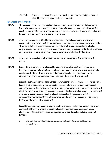413.03.06 Employees are expected to remove postings violating this policy, even when placed by others on a personal social media site.

## <span id="page-30-0"></span>414 Workplace Conduct

- 414.01 The purpose of this policy is to prohibit discrimination, harassment, and workplace violence; the condoning or perpetuating of such conduct, or retaliation for reporting such conduct or assisting in an investigation; and to provide a process for reporting and resolving complaints of harassment, discrimination, and workplace violence.
- 414.02 All City employees are entitled to a workplace free of workplace violence and unlawful discrimination and harassment by management, supervisors, co-workers, citizens, and vendors. This means that each employee must be respectful of others and act professionally. City employees are also prohibited from engaging in workplace violence and unlawful discrimination and harassment of other employees, citizens, vendors, and all other third parties.
- 414.03 All City employees, elected officials and volunteers are governed by the provisions of this policy.
- 414.04 **Sexual Harassment.** All types of sexual harassment are prohibited. Sexual harassment is behavior of a sexual nature that is not welcome, is personally offensive, undermines morale, interferes with the work performance and effectiveness of another person in the work environment, or creates an intimidating, hostile or offensive work environment.

Sexual harassment is defined as unwanted or unwelcome sexual advances, requests for sexual favors, or other verbal or physical conduct of a sexual nature when 1) submission to such conduct is made either explicitly or implicitly a term or condition of an individual's employment, 2) submission to or rejection of such conduct by an individual is used as a basis for employment decisions affecting such individual, or 3) such conduct has the purpose or effect of unreasonably interfering with an individual's work performance or creating an intimidating, hostile, or offensive work environment.

Sexual harassment may include a range of subtle and not so subtle behaviors and may involve individuals of the same or different gender. Sexual harassment does not require sexual attraction or interest. Sexual harassment prohibited under this policy includes, but is not limited to:

i. Unwanted or unwelcome sexual advances and requests for sexual favors or propositions,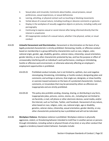- ii. Sexual jokes and innuendo; Comments about bodies, sexual prowess, sexual preferences, sexual experiences, or sexual deficiencies
- iii. Leering, whistling, or physical contact such as touching or blocking movements
- iv. Verbal abuse of a sexual nature, including insulting or obscene comments or gestures
- v. Display in the workplace of sexually suggestive objects or pictures, including nudity and pornography
- vi. Continuing to express sexual or social interest after being informed directly that the interest is unwelcome
- vii. All inappropriate conduct of a sexual nature, whether it be physical, verbal, or visual conduct
- 414.05 **Unlawful Harassment and Discrimination.** Harassment or discrimination on the basis of any legally protected characteristic is strictly prohibited. Demeaning, hostile, or offensive conduct based on membership in a group defined by characteristics such as race, religion, color, national origin, gender, age, disability, genetics, veteran status, citizenship, sexual orientation, gender identity, or any other characteristic protected by law, and has the purpose or effect of unreasonably interfering with an individual's work performance, creating an intimidating, hostile or offensive work environment, or otherwise adversely affecting an employee's employment opportunities is prohibited.
	- 414.05.01 Prohibited conduct includes, but is not limited to, epithets, slurs and negative stereotyping; threatening, intimidating, or hostile conduct; denigrating jokes and comments; and writings or pictures, that single out, denigrate, or show hostility or aversion toward someone on the basis of a protected characteristic. Conduct, comments, or innuendoes that may be perceived by others as offensive are inappropriate and are strictly prohibited.
	- 414.05.02 This policy also prohibits sending, showing, sharing, or distributing in any form, inappropriate jokes, pictures, comics, stories, etc., including but not limited to via facsimile, e-mail, cell phone or other electronic devices, social media, and/or the Internet, such as YouTube, Twitter, and Facebook. Harassment of any nature, when based on race, religion, color, sex, national origin, age or disability, genetics, veteran status, citizenship, sexual orientation, gender identity, or any other characteristic protected by law is prohibited and will not be tolerated.
- 414.06 **Workplace Violence.** Workplace violence is prohibited. Workplace violence is physically aggressive, violent, or threatening behavior intended to instill fear in another person or persons through intimidation, including verbal or physical threats of any kind; or any other conduct that suggests a tendency toward violent behavior. Examples include: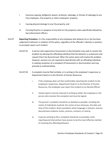- i. Excessive arguing, belligerent speech, profanity, sabotage, or threats of sabotage to any City employees, City property or other employees' property.
- ii. Causing physical damage to any City property; and
- iii. Carrying firearms or weapons of any kind on City property unless specifically allowed by law enforcement officers.
- 414.07 **Reporting Procedure.** It is the responsibility of any employee who believes he or she has been subjected to behavior in violation of this policy, regardless of the offender's identity or position, to promptly report such incident.
	- 414.07.01 A person who experiences harassment or discrimination may seek to resolve the problem by advising the offending individual that the behavior is unwelcome and request that it be discontinued. Often this action alone will resolve the problem. However, persons are not required to deal directly with an offending individual in seeking resolution of a complaint of harassment or discrimination and may proceed as outlined below.
	- 414.07.02 A complaint may be filed verbally, or in writing to the employee's Supervisor or Department Head or to the Director of Human Resources.
		- i. If the employee does not feel comfortable reporting the incident to the employee's Supervisor, Department Head or to the Director of Human Resources, the employee may report the incident to an Elected Official.
		- ii. Verbal reports must be reduced to writing by either the employee or the person who receives the complaint and must be signed.
		- iii. The person's complaint should be as detailed as possible, including the names of individuals involved, the names of any witnesses, the date and time of the incident, direct quotations when language is relevant, and any documentary evidence (notes, pictures, cartoons, et cetera).
		- iv. A person wishing to file a complaint should do so promptly. Early reporting and intervention have proven to be the most effective method of resolving the offending behavior.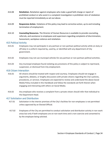- 414.08 **Retaliation.** Retaliation against employees who make a good faith charge or report of prohibited conduct or who assist in a complaint investigation is prohibited. Acts of retaliation must be reported immediately as set out above.
- 414.09 **Responsive Action.** Violations of this policy may lead to corrective action, up to and including termination of employment.
- 414.10 **Counseling Resources.** The Director of Human Resources is available to provide counseling, referrals, and assistance to employees and supervisors regarding complaints of discrimination, harassment, workplace violence and retaliation.

#### <span id="page-33-0"></span>415 Political Activity

- 415.01 Employees may not participate in any partisan or non-partisan political activity while on-duty or off-duty in a uniform required by, used by, or identified with any department of City government.
- 415.02 Employees may not use municipal vehicles for any partisan or non-partisan political activities.
- 415.03 Any municipal employee found violating any provisions of this policy is subject to reprimand, suspension, or dismissal from City employment.

#### <span id="page-33-1"></span>416 Citizen Interaction

- 416.01 All citizens should be treated with respect and courtesy. Employees should not engage in arguments, debates, or lengthy discussions with private citizens regarding the City's policies, procedures, or services. Employees are expected to review and understand the above Social Media Policy included in this Handbook and follow the standards set forth therein when engaging and interacting with others on Social Media.
- 416.02 Any employee who receives a complaint from a private citizen should refer that individual to the Department Head.

#### <span id="page-33-2"></span>417 Solicitation and Distribution

- 417.01 Solicitation in the interior premises of the City's facilities for non-employees is not permitted unless approved by an Elected Official.
- 417.02 Employees of the City are permitted to conduct solicitation and distribution activity in non-work areas but only if both employees are on non-work time and is non-coercive and consented to by the employee being solicited.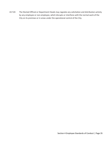417.03 The Elected Official or Department Heads may regulate any solicitation and distribution activity by any employee or non-employee, which disrupts or interferes with the normal work of the City on its premises or in areas under the operational control of the City.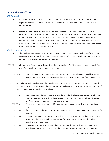# <span id="page-35-0"></span>Section 5 Business Travel

## <span id="page-35-1"></span>501 General

- 501.01 Vacations or personal trips in conjunction with travel require prior authorization, and the expenses incurred in connection with such, which are not related to City Business, are not reimbursable.
- 501.02 Failure to meet the requirements of this policy may be considered unsatisfactory work performance and is subject to disciplinary action as outline in the City of New Haven Employee Handbook. Other applicable administrative practices and policies, including the reporting of injuries, accidents, or illness, are in force during business travel. While on business travel, if clarification of, and/or assistance with, existing policies and procedures is needed, the traveler should contact their Department Head.

#### <span id="page-35-2"></span>502 Transportation

- 502.01 The mode of transportation authorized should provide the most practical, cost-effective, and economical use of time, based upon the requirements of business travel. Itemized Receipts for related transportation expenses are required.
- 502.02 **City Vehicle.** The City provides vehicles that are available for City-related business travel. The use of a City vehicle is encouraged, if available.
	- 502.02.01 Gasoline, parking, tolls, and emergency repairs to City vehicles are allowable expenses by the City. When possible, gasoline and service should be obtained from City facilities.
- 502.03 **Privately-Owned Vehicle (POV).** If a traveler elects to travel by POV rather than other means, the total transportation expenses reimbursed, including meals and lodging, may not exceed the cost of the most economical travel mode available.
	- 502.03.01 Reimbursement of POV expenses are at the standard mileage rate, as set forth by the Internal Revenue Service, for miles traveled on official City Business, plus parking and toll fees when documented, in accordance with this policy.
	- 502.03.02 Travelers will not be reimbursed for automotive repair or breakdowns when using a POV.
	- 502.03.03 If a POV is used, only one (1) authorized traveler, per POV, may claim reimbursement for mileage.
	- 502.03.04 When City-related travel is from home directly to the destination without going to the workplace, the traveler will be reimbursed for the miles which exceed the miles traveling from home to work.
	- 502.03.05 Driving directions using the most direct route that shows the distance in miles to and from home to work and to and from then destination are required to be submitted.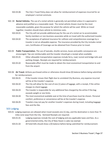- 502.03.06 The City's Travel Policy does not allow for reimbursement of expenses incurred for an employee's normal commute.
- 502. 04 **Rental Vehicles.** The use of a rental vehicle is generally not permitted unless it is approved in advance and justified as a reasonable need. The rental vehicle chosen must be the most reasonable available, given the purpose for which the vehicle will be used. While on travel together, travelers should share vehicle to minimize costs.
	- 502.04.01 The City will not provide additional pay for the use of a rental car to accommodate family members or non-business associates while on travel with the authorized traveler.
	- 502.04.02 The acceptance of optional insurance for collision and comprehensive coverage by a traveler is not an allowable expense. The insurance provided by the City includes rental cars; Certificates of Coverage can be obtained from Finance prior to travel.
- 502.05 **Public Transportation.** The use of taxicabs, shuttle services, buses and public conveyance are encouraged. Tips are reimbursable and the traveler should get a receipt when available.
	- 502.05.01 Other allowable transportation expenses include ferry, road, tunnel and bridge tolls and parking charges. Receipts are required for reimbursement.
	- 502.05.02 Reasonable effort must be made to obtain the most economical transportation to and from the airport.
- 502.06 **Air Travel.** Airfares purchased online or otherwise should show (0) balance before being submitted for reimbursement.
	- 502.06.01 If the traveler misses their flight due to unrelated City Business, any expense incurred will be at the traveler's expense.
	- 502.06.02 The City will allow for the cost of one (1) piece of luggage, with a receipt, if the airline charges to check luggage.
	- 502.06.03 The traveler is responsible for any additional fees charged by the airline if the bag exceeds weight or size limits.
	- 502.06.04 The most economical available seat at the time of purchase must be chosen. Personal comfort, preference or convenience will be at the traveler's expense.
	- 502.06.05 Travelers may not pay for another traveler's expenses during travel, including baggage fees and the like.

## <span id="page-36-0"></span>503 Lodging

- 503.01 Lodging expenses are allowed when travel exceeds one (1) day, and the destination is more than 75 miles (one-way) from the City. Itemized Receipts are required.
	- 503.01.01 Lodging expenses include the cost of lodging and any applicable taxes and fees. As a governmental entity, the City of New Haven is sales tax exempt.
	- 503.01.02 All hotel bills should show a (0) balance before being submitted for reimbursement.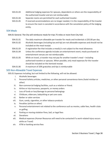- 503.01.03 Additional lodging expenses for spouses, dependents or others are the responsibility of the authorized traveler and are not reimbursable.
- 503.01.04 Separate rooms are permitted for each authorized traveler.
- 503.01.05 If reserved accommodations are no longer needed, it is the responsibility of the traveler to ensure the room is canceled in accordance with the cancelation policy of the lodging entity.

#### <span id="page-37-0"></span>504 Meals

- 504.01 General. The City will reimburse meals for trips 75 miles or more from City Hall.
	- 504.01.01 The daily maximum allowable per traveler for meals and incidentals is \$35.00 per day.
	- 504.01.02 Alcoholic beverages (including tax and tip) are not allowable expenses and should not be included on the meal receipt.
	- 504.01.03 A registration fee that includes a meal(s) is not subject to the meal allowance.
	- 504.01.04 Unless the conference agenda includes an entertainment event, meals purchased at entertainment venues are not reimbursable.
	- 505.01.05 While on travel, a traveler may not pay for another traveler's meal including authorized travelers or spouses. When possible, only meal expenses for the traveler should be included on the itemized receipt.
	- 504.01.06 A maximum of 20% gratuities and tips is reimbursable

## <span id="page-37-1"></span>505 Non-Allowable Travel Expenses

505.01 Expenses including, but not limited to the following, will not be allowed:

- i. Alcoholic beverages
- ii. Personal toiletry articles, medicines, or other personal convenience items (hotel minibar or other)
- iii. Non-commercial lodging facilities, such as a relative or friend.
- iv. Airline or trip insurance, passports, or money orders
- v. Loss of funds or loss/damage to personal belongings
- vi. Childcare, eldercare, babysitting or pet care costs
- vii. Barber or salon services
- viii. Gum, candy, cigarettes, or other tobacco products
- ix. Penalties (airline or other)
- x. Personal entertainment not related to the conference such as movies, cable fees, health clubs or golfing
- xi. Parking or moving violation fines, bail, or legal fees
- xii. Donations
- xiii. Medical expenses (Human Resources will need to be contacted if a work-related injury occurs while on Travel)
- xiv. ATM or banking service fees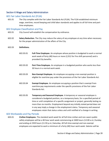# <span id="page-38-0"></span>Section 6 Wage and Salary Administration

## <span id="page-38-1"></span>601 Fair Labor Standards Act (FLSA)

601.01 The City complies with the Fair Labor Standards Act (FLSA). The FLSA established minimum wage, overtime, record keeping and child labor standards and applies to all full-time and parttime employees.

## <span id="page-38-2"></span>602 Employee Classification and Pay

- 602.01 City Council will establish the compensation by ordinance.
- 602.02 **Salary Reduction.** The City may reduce the salary of any employee at any time when necessary for the proper administration of the affairs of the City.

#### 602.03 **Definitions.**

- 602.03.01 **Full-Time Employee.** An employee whose position is budgeted to work a normal work week of forty (40) hours or more (2,912 for Fire shift personnel) and is provided City benefits.
- 602.03.02 **Part-Time Employee.** An employee in a budgeted position who works less than 30 hours in a normal work week.
- 602.03.03 **Non-Exempt Employee.** An employee occupying a non-exempt position is eligible for overtime pay under the provisions of the Fair Labor Standards Act.
- 602.03.04 **Exempt Employee.** An employee occupying a position that is exempt from overtime pay requirements under the specific provisions of the Fair Labor Standards Act.
- 602.03.05 **Temporary and Seasonal Employee**. A temporary or seasonal employee is considered a budgeted position, on a temporary basis, for a specified period of time or until completion of a specific assignment or project, generally lasting no more than six months. Employment beyond any initially stated period does not in any way imply a change in the employment status. Temporary and seasonal employees retain that status unless and until notified of a change in writing.

## <span id="page-38-3"></span>603 Workweeks and Pay Periods

603.01 **Civilian Employees.** The standard work week for all full-time civilian and non-sworn public safety employees will be a 40-hour work week commencing at 2400 hours (12:00 a.m.) Sunday and ending at 2359 hours (11:59 p.m.) Saturday. All full-time exempt and non-exempt employees are expected to work a minimum of a forty (40) hour work week. Salaries will be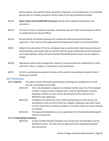paid bi-weekly. Auto deposits will be released to employees on a bi-weekly basis. If a scheduled pay day falls on a holiday, paychecks will be issued on the day preceding the holiday.

- 603.02 **Sworn Police and Fire/EMS Shift Personnel.** Should refer to departmental policies and procedures.
- 603.03 The hours of work, including the workday, workweek, and work shift, for all employees will be as established by the Elected Official.
- 603.04 Records will be maintained showing hours worked each day by Department Heads or supervisors. Time records will be approved by the Department Heads or the Elected Official.
- 603.05 Subject to the discretion of the City, employees may be authorized to take break periods each full working day. Such breaks will not interfere with the proper performance of the employee's work responsibilities, will be set by the Elected Official/Department Head, and are subject to change.
- 603.06 Operational needs and/or emergencies, however, may necessitate the establishment of other work hours, days, or weeks on a temporary or permanent basis.
- 603.07 No full or partial advance payment of salary will be made to any employee outside of the biweekly pay schedule.

## <span id="page-39-0"></span>604 Timekeeping

- 604.01 **General.** This policy outlines information pertaining to recording and tracking hours of work, accruals, and making manual edits.
	- 604.01.01 Every City employee is assigned an employee number upon hire. The employee number is unique to each employee and is used for identification purposes. Employee numbers are also used as identification for the timeclock and NOVAtime web application.
	- 604.01.02 Employees are required to clock in before performing any work and are not permitted to clock out until all work has stopped. Employees who under report or fail to report hours worked are subject to corrective action up to and including termination.
	- 604.01.03 The approved timesheets are due in payroll by 10 am the Monday following the close of a pay period.

#### 604.02 **Timekeeping Procedures**

604.02.01 Exempt and Non-Exempt employees must record time and attendance via the NOVAtime system. The time must be approved by the designated employee each pay period.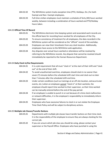- 604.02.02 The NOVAtime system tracks exception time (PTO, Holidays, Etc.) for both Exempt and Non- Exempt employees.
- 604.02.03 Full-time civilian employees must maintain a schedule of forty (40) hours worked weekly, between including a combination of hours worked and PTO/Holiday hours taken.

#### 604.03 **Official Time Of Record**

| 604.03.01 | The NOVAtime electronic time keeping system and associated work records are    |  |  |
|-----------|--------------------------------------------------------------------------------|--|--|
|           | the official basis for recording hours worked for all employees of the City.   |  |  |
| 604.03.02 | To ensure consistency of treatment for all employees, the data recorded in the |  |  |
|           | NOVAtime system will be considered as the "official" record of the workday.    |  |  |
| 604.03.03 | Employees can view their timesheets from any clock location. Additionally,     |  |  |
|           | employees have access to the NOVAtime web application.                         |  |  |
| 604.03.04 | Any disputes over actual hours worked or attendance will be resolved by        |  |  |
|           | referring to the NOVAtime records. Any dispute that cannot be resolved should  |  |  |
|           | immediately be reported to the Human Resources Department.                     |  |  |

#### 604.04 **Daily Clock In/Out Requirements**

| 604.04.01 | It is a job requirement that all must "clock in" at the start of their shift and "clock |
|-----------|-----------------------------------------------------------------------------------------|
|           | out" at the end of their shift.                                                         |

604.04.02 To avoid unauthorized overtime, employees should clock in no sooner than seven (7) minutes before the scheduled shift start time and clock out no later than 7 minutes after the scheduled shift end time.

- 604.04.03 Under certain conditions (such as trainings at an off-site location, extracurricular events, etc.) when an employee cannot "clock in" at their worksite, the employee should report time worked to their supervisor, so their time worked can be manually entered before the end of the pay period.
- 604.04.04 If an employee is unable to punch in or out because of a time clock malfunction or network difficulties, it is the employee's responsibility to immediately inform their supervisor.
- 604.04.05 Employees who have excessive failures to clock in or out violate the Employee Time Clock Policy and will be subject to disciplinary actions.

## 604.05 **Multiple Job Classes/Transfer Buttons**

- 604.05.01 Departments with multiple job classes have transfer buttons on their time clock. It is the responsibility of the employee to ensure they are always clocking for the correct job.
- 604.05.02 If you are unsure which job class you should be using, please contact your supervisor or the Payroll Office. Employees who have punched in using the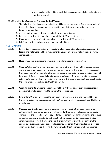wrong job class will need to contact their supervisor immediately before time is imported to payroll.

#### 604.06 **Falsification, Tampering, And Unauthorized Viewing**

The following infractions are prohibited and will be considered severe. Due to the severity of these infractions, employees may be subject to immediate corrective action, up to and including termination.

- 1. Any attempt to tamper with timekeeping hardware or software.
- 2. Interference with another employee's use of the NOVAtime system.
- 3. Unauthorized viewing of another employee's time in the NOVAtime system.
- 4. Falsifying time by not clocking in and out at required times.

## <span id="page-41-0"></span>605 Overtime

- 605.01 **Policy.** Overtime compensation will be paid to all non-exempt employees in accordance with federal and state wage and hour requirements. Exempt employees will not be paid overtime compensation.
- 605.02 **Eligibility.** All non-exempt employees are eligible for overtime compensation.
- 605.03 **General.** When the City's operating requirements or other needs cannot be met during regular working hours, non-exempt employees may be required to work overtime, at the request of their supervisor. When possible, advance notification of mandatory overtime assignments will be provided. Refusal or other failure to work mandatory overtime may result in corrective action, up to and including termination of employment. Overtime work is otherwise subject to the same attendance policies as straight time work.
- 605.04 **Work Assignments.** Overtime assignments will be distributed as equitably as practical to all non-exempt employees qualified to perform the required work.
- 605.05 **Rate of Pay.** Overtime will be paid to non-exempt employees at one and one-half (1½) times the regular rate of pay in accordance with FLSA for hours worked in excess of forty (40) hours in a workweek.
- 605.06 **Unauthorized Overtime.** All non-exempt employees will receive their supervisor's prior authorization before performing any overtime work. This means employees may not begin work prior to their scheduled work day and may not continue working beyond the end of their scheduled workday, without prior authorization from the appropriate supervisor. Similarly, employees may not work through their lunch break without prior authorization from the appropriate supervisor. In addition, employees may not conduct work via electronic devices when not on duty, such as checking their work email without prior approval. Non-exempt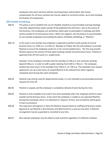employees who work overtime without receiving proper authorization will receive compensation for all hours worked, but may be subject to corrective action, up to and including termination of employment.

## <span id="page-42-0"></span>606 Flexible Scheduling

- 606.01 This policy is set to establish the use of a flexible schedule to accommodate evening meetings and other departmental needs outside of the published City Hall Hours. Due to the nature of City business, City employees are sometimes called upon to participate in meetings and other events outside of normal business hours. When this happens, the City desires to accommodate its non-exempt employees by providing the option of flexible scheduling, or "flextime."
- 606. 02 In the event a non-exempt City employee is expected to perform work outside of normal business hours (i.e. 8:00 a.m. to 5:00 p.m. Monday to Friday), the City will endeavor to provide flextime to ensure the employee works his or her normal weekly hours. The City may provide flextime equal to the amount of time spent working outside normal business hours. Flextime is approved time off from work (i.e. unpaid time).

Example: A City employee normally ends the workday at 5:00 p.m. but continues working beyond 5:00 p.m. in order to staff a public meeting from 6:00 to 7:00 p.m. The employee worked two extra hours in the workday from 5:00 p.m. to 7:00 p.m. The employee may request approval to use up to two hours of unpaid flextime to be relieved from other regularly scheduled work during that same workweek.

- 606.03 Flextime may only be used for departmental needs; it is not intended to accommodate personal requests for time off.
- 606.04 Flextime is unpaid, and the employee is completely relieved of work during this time.
- 606.05 Flextime is only available to be used in the same workweek when the employee performs work outside normal business hours. In the event the employee is unable to use approved flextime during that workweek, there is no allotment or 'balance' of time, and no flextime will be given in that circumstance.
- 606.06 The supervisor will approve or deny the flextime request based on staffing and business needs. Approval to use flextime is discretionary and determined on a case-by-case basis. A flextime arrangement may be suspended or cancelled at any time.
- 606.07 Non-exempt employees may be asked to work overtime regardless of a flextime schedule.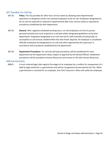# <span id="page-43-0"></span>607 Standby/ On-Call Pay

- 607.01 **Policy.** The City provides for after-hour service needs by allowing some departmental operations to designate certain non-exempt employees to be on-call. Employees designated to be on-call are expected to respond to departmental after-hour service needs as required by procedures established by their department.
- 607.02 **General.** After regularly scheduled working hours, on-call employees are free to pursue personal activities but must respond to a call back within designated guidelines set by their department. Employees designated as on-call must be fit, both mentally and physically, to accomplish on-call services needed within the time frame required. An employee is considered officially scheduled and designated as on-call only when approved by the supervisor in accordance with procedures established by the department.
- 607.03 **Department Procedures.** On-call and call-back procedures will be established for each department by the Department Head, subject to approval by the Elected Official. Established procedures will be provided to Human Resources and remain on file with Human Resources.

#### <span id="page-43-1"></span>608 Garnishments

608.01 A court ordered legal claim against the wages of an employee by a creditor for nonpayment of a debt by legal authority is a garnishment and will be recognized and executed by the City. When a garnishment is received for an employee, the Clerk Treasurer's office will notify the employee.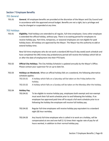# <span id="page-44-0"></span>Section 7 Employee Benefits

## <span id="page-44-1"></span>701 General

701.01 **General.** All employee benefits are provided at the discretion of the Mayor and City Council and in accordance with the approved annual budget. Benefits are not a right, but a privilege and may be changed or suspended at any time.

## <span id="page-44-2"></span>702 Holidays

702.01 **Eligibility.** Paid holidays are extended to all regular, full-time employees. Every other employee is extended the official holiday, without pay. There is no waiting period for employees to receive holiday pay. Part-time, temporary, or seasonal employees are not eligible for paid holiday leave. All holidays are approved by the Mayor. The Mayor has the authority to add or extend holiday time.

> New full-time employees who do not work a standard (40-hour/5-day week) work schedule and have completed the (90) ninety-day probationary period will receive the holidays which fall on or after the date of employment into their PTO bank.

- 702.02 **Official City Holidays.** The City Holiday Schedule is updated annually by the Mayor's Office. Please contact your supervisor for an up to date list.
- 702.03 **Holidays on Weekends.** When an official holiday falls on a weekend, the following alternative schedule applies:
	- 702.03.01 A holiday which falls on a Saturday will be taken on the Friday before the holiday.
	- 702.03.02 A holiday which falls on a Sunday will be taken on the Monday after the holiday.

## 702.04 **Holiday Pay.**

- 702.04.01 To be eligible to receive holiday pay, employees both exempt and non-exempt must work their full work schedule prior to and following the holiday. If an employee has approved paid time off to equal a full work schedule prior to or following the holiday the employee will receive full holiday pay.
- 702.04.02 Regular full-time employees will receive holiday pay equivalent to a standard eight (8) hour workday.
- 702.04.03 Any hourly full-time employee who is called in to work on a holiday, will be compensated at one and one-half (1 ½) times their regular rate of pay for all hours worked, in addition to their normal holiday pay.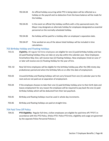- 702.04.04 An official holiday occurring while PTO is being taken will be reflected as a holiday on the payroll and no deduction from the leave balance will be made for the holiday.
- 702.04.05 In the event an official City holiday conflicts with a City sponsored event, the Mayor may designate an alternate holiday for employees designated as essential personnel on the normally scheduled holiday.
- 702.04.06 No holiday will be paid for a holiday after an employee's separation date.
- 702.04.07 Time worked on any of the above listed holidays will be included in time calculations.

## <span id="page-45-0"></span>703 Birthday Holiday and Floating Holidays

- 703.01 **Eligibility.** All regular full-time employees are eligible for one (1) paid birthday holiday and two (2) paid floating holidays they can take on any day within the calendar year. New Employees hired before May 31st, will receive two (2) Floating Holidays. New employees hired on June 1st or later will receive one (1) Floating Holiday for the year of hire.
- 703. 02 New full-time employees will be eligible for the birthday holiday pay after the (90) ninety-day probationary period and when the birthday falls on or after the date of employment.
- 703.03 Unused birthday and floating holidays will not carry forward from one (1) calendar year to the next and are not paid out at separation of employment.
- 703.04 If the employee chooses to take their one (1) paid birthday holiday prior to their birth date and leaves employment for any reason the employee will be required to pay back the one (1) paid birthday holiday which will be deducted from their last paycheck.
- 703.05 Birthday and floating holidays must be used in whole day increments.
- 703.06 Birthday and floating holidays are paid at straight time.

## <span id="page-45-1"></span>704 Paid Time Off Policy

704.01 **PTO Eligibility:** Regular full-time, civilian employees are eligible for paid time off ("PTO") in accordance with this PTO Policy. (Police PTO: Police PTO time, eligibility and usage are governed by the separate Police Personnel Policies.)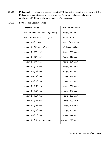704.02 **PTO Accrual:** Eligible employees start accruing PTO time at the beginning of employment. The PTO accrual amount is based on years of service. Following the first calendar year of employment, PTO time is allotted on January 1<sup>st</sup> of each year.

# 704.03 **PTO Based on Years of Service:**

| <b>Length of Service</b>                            | <b>Accrued PTO Amounts</b> |
|-----------------------------------------------------|----------------------------|
| Hire Date: January 1-June 30 (1 <sup>st</sup> year) | 20 days / 160 hours        |
| Hire Date: July 1-Dec 31 (1 <sup>st</sup> year)     | 10 Days / 80 hours         |
| January $1 - (2nd$ year)                            | 25 Days / 200 hours        |
| January $1 - (3^{rd}$ year $-6^{th}$ year)          | 25.5 days / 204 hours      |
| January $1 - (7th$ year)                            | 26 days / 208 hours        |
| January $1 - (8^{th})$ year)                        | 27 days / 216 hours        |
| January 1 - (9 <sup>th</sup> year)                  | 28 days / 224 hours        |
| January $1 - (10th$ year)                           | 29 days / 232 hours        |
| January $1 - (11th$ year)                           | 30 days / 240 hours        |
| January $1 - (12th$ year)                           | 31 days / 248 hours        |
| January 1 - (13 <sup>th</sup> year)                 | 32 days / 256 hours        |
| January $1 - (14th$ year)                           | 33 days / 264 hours        |
| January $1 - (15th$ year)                           | 34 days / 272 hours        |
| January $1 - (16th$ year)                           | 35 days / 280 hours        |
| January $1 - (17th$ year)                           | 36 days / 288 hours        |
| January 1 – (18 <sup>th</sup> year)                 | 37 days / 296 hours        |
| January $1 - (19th$ year)                           | 38 days / 304 hours        |
| January $1 - (20th$ year)                           | 39 days / 312 hours        |
| January $1 - (21st$ year and above)                 | 40 days / 320 hours        |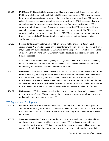- 704.04 **PTO Usage:** PTO is available to be used after 90 days of employment. Employees may not use PTO time until after completion of their initial 90 days of employment. PTO time may be used for a variety of reasons, including personal days, vacation, and personal illness. PTO time will be paid at the employee's regular rate of pay earned at the time the PTO is used, excluding any amounts earned for overtime, bonuses, incentives, etc. Employees must schedule PTO in advance with their supervisor or Department Head, unless using PTO for unexpected illness. In general, employees should seek approval for planned absences at least thirty (30) days in advance. Employees may not use more than ten (10) PTO days at one time without approval from an elected official. PTO requests will be granted to the extent feasible, depending on staffing and business needs.
- 704.05 **Reserve Banks:** Beginning January 1, 2022, employees will be provided a Reserve Bank for certain unused PTO time to be used only in accordance with this PTO Policy. Reserve Bank time may be used only during approved FMLA leave or during an approved leave of absence. Usage of Reserve Bank time for a non-FMLA reason must be approved by a department head and Human Resources.

At the end of each calendar year beginning in 2021, up to 120 hours of unused PTO time may be converted into the Reserve Bank. The Reserve Bank has a maximum balance of 480 hours. At no time may the Reserve Bank contain more than 480 hours.

- 704.06 **No Rollover:** To the extent the employee has unused PTO time that cannot be converted to the Reserve Bank, any remaining, unused PTO time will be forfeited. Moreover, once the Reserve Bank reaches 480 hours, any unused PTO time not converted will be forfeited. Unused PTO time does not carryover from year to year, and any PTO time not used during the calendar year or converted to the Reserve Bank will be forfeited. No payouts will be provided for unused PTO time at the end of the year without written approval from the Mayor and Board of Works.
- 704.07 **No Borrowing.** PTO time may not be taken if an employee does not have sufficient accrued PTO time at the time of usage. PTO time may not be borrowed in advance from subsequent years. Additionally, employees may not share PTO.

## <span id="page-47-0"></span>705 Separation of Employment:

- 705.01 **Involuntary Termination**. Employees who are involuntarily terminated from employment for any reason are not eligible for and will not receive a payout for any unused PTO time or Reserve Bank time. Any unused PTO time or Reserve Bank time existing at the time of termination will be forfeited.
- 705.02 **Voluntary Resignation.** Employees who voluntarily resign or are voluntarily terminated from employment in good standing will receive a pay out of PTO time in accordance with the schedule below. Any unused PTO time in excess of the below percentages will not be paid out and will be forfeited. Employees with ten (10) years or more of service at the time of their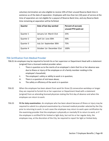voluntary termination are also eligible to receive 10% of their unused Reserve Bank time in existence as of the date of separation. Employees with less than ten (10) years of service at the time of separation are not eligible for a payout of Reserve Bank time, and any Reserve Bank time remaining at separation will be forfeited.

| Quarter   | Date of last day worked   | Percent of accrued,<br>unused PTO paid out |
|-----------|---------------------------|--------------------------------------------|
| Quarter 1 | January 1st-March 31st    | 25%                                        |
| Quarter 2 | April 1st-June 30th       | 50%                                        |
| Quarter 3 | July 1st-September 30th   | 75%                                        |
| Quarter 4 | October 1st-December 31st | 100%                                       |

# <span id="page-48-0"></span>706 Certification from Medical Provider

706.01 An employee may be required to furnish his or her supervisor or Department Head with a statement (original) from a licensed medical provider when:

- i. There is question as to the merits of an employee's claim that his or her absence was due to illness or injury of the employee or of a family member residing in the employee's household;
- ii. The employee's safety or ability to work is in question;
- iii. There is a question of sick leave abuse;
- iv. The safety or efficiency of the work is in question
- 706.02 When the employee has been absent from work for three (3) consecutive workdays or longer they are required to furnish his or her supervisor or Department Head with a statement (original) from an attending licensed physician stating the first day of absence and when the employee can return to work.
- 706.03 **Fit for duty examination.** An employee who has been absent because of illness or injury may be required to submit to a physical examination by a licensed medical provider selected by the City prior to returning to work. In such cases the employee may return to work upon certification by the examining provider that the employee is physically or mentally fit to return to work, or if the employee is certified fit for limited or light duty, but not his or her regular duty, the employee may, at the discretion of the City, be required to report for light or limited duty.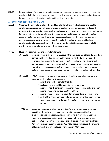706.04 **Return to Work.** An employee who is released by an examining medical provider to return to regular or light duty and refuses to report for work or perform his or her assigned duties may be subject to corrective action, up to and including termination.

# <span id="page-49-0"></span>707 Family Medical Leave Act (FMLA)

707.01 **General.** The City will provide authorized leave for family and medical reasons to eligible employees in accordance with the provisions of the Family Medical Leave Act of 1993. The purpose of this policy is to enable eligible employees to take unpaid absences from work for up to twelve (12) weeks during a 12-month period for new child leave; for medically-related reasons due to a serious health condition regarding self, spouse, child or parent; or for a qualifying exigency arising from a call to active duty. This policy will also enable eligible employees to take absences from work for up to twenty-six (26) weeks during a single 12 month period to care for an injured or ill service member.

## 707.02 **Eligibility Requirements and Leave Entitlement.**

- 707.02.01 An employee is eligible for FMLA Leave if the employee has at least 12 months of service and has worked at least 1,250 hours during the 12-month period immediately preceding the commencement of the leave. The 12 months of service need not be consecutive months. However, prior service which occurred more than seven years prior to the request for leave will not be considered in determining whether an employee worked for the City for at least 12-months.
- 707.02.02 FMLA entitles eligible employees to as much as 12 weeks of unpaid leave of absence for the following five reasons:
	- i. The birth of a child, to care for that child.
	- ii. The placement of a child for adoption or foster care.
	- iii. The serious health condition of the employee's spouse, child, or parent.
	- iv. The employee's own serious health condition.
	- v. The employee's spouse, son, daughter, or parent is a member of any branch of the Armed Services and is on active duty or has been notified of an impending call or order to active duty in support of a contingency operation.
- 707.02.03 Leave for an injured or ill service member. An eligible employee is entitled to take 26 work weeks of leave during a single 12-month period for the employee to care for a spouse, child, parent or next of kin who is a service member undergoing medical treatment, recuperation, or therapy, is on out patient status or is on the temporary disabled retired list for injury or illness. Any leave taken pursuant to Section 708.02.02 above will reduce the amount of leave available to an employee by this Section 708.02.03.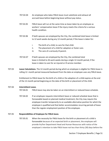- 707.02.04 An employee who takes FMLA leave must substitute and exhaust all accrued leave before beginning leave without pay status.
- 707.02.05 FMLA leave will run at the same time as leave taken by an employee as workers' compensation leave if the injury meets the criteria for a serious health condition.
- 707.02.06 If both spouses are employed by the City, the combined total leave is limited to 12 work weeks during any 12-month period, if the leave is taken for:
	- i. The birth of a child, to care for that child.
	- ii. The placement of a child for adoption or foster care.
	- iii. The care of a seriously ill parent.
- 707.02.07 If both spouses are employed by the City, the combined total leave is limited to 26 work weeks during a single 12-month period, if the leave is taken to care for an injured or ill service member.
- 707.03 **Leave Calculations.** The 12-month period during which an employee is eligible for FMLA leave is rolling 12- month period measured backward from the date an employee uses any FMLA leave.

Entitlement to FMLA leave for the birth of a child or the adoption of a child expires at the end of the 12-month period beginning on the date of the birth or placement of the child.

#### 707.04 **Intermittent Leave.**

707.04.01 FMLA leave may also be taken on an intermittent or reduced leave schedule.

707.04.02 If an employee requests intermittent leave or reduced schedule leave that is foreseeable based on planned medical treatment, the City may require the employee transfer temporarily to an available alternative position for which the employee is qualified and that better accommodates recurring periods of leave than the regular employment position of the employee.

#### 707.05 **Responsibilities of Employee for FMLA leave.**

707.05.01 When the necessity for FMLA leave for the birth or placement of a child is foreseeable because of an expected birth or placement, the employee will provide his/her Department Head and Human Resources with notice of the employee's intention to take FMLA leave not less than thirty (30) days before the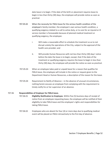date leave is to begin. If the date of the birth or placement requires leave to begin in less than thirty (30) days, the employee will provide notice as soon as practical.

- 707.05.02 When the necessity for FMLA leave for the serious health condition of the employee's family member, the employee's own serious health condition, a qualifying exigency related to a call to active duty, or to care for an injured or ill service member is foreseeable because of planned medical treatment or qualifying exigency, the employee:
	- i. Will make a reasonable effort to schedule the treatment so as to not disrupt unduly the operations of the City, subject to the approval of the health care provider; and
	- ii. Will provide Human Resources with not less than thirty (30) days' notice before the date the leave is to begin; except, that if the date of the treatment or qualifying exigency requires the leave to begin in less than thirty (30) days, the employee will provide the notice as soon as practical.
- 707.05.03 When an employee takes paid or unpaid leave for a reason that qualifies for FMLA leave, the employee will include in the notice or request given to the Department Head or Human Resources, a description of the reason for the leave.
- 707.05.04 Requirement to Notify of Absence in the absence of unusual circumstances, nothing herein excuses an employee from complying with the requirement to timely notify his or her supervisor of an absence.

## 707.06 **Responsibilities of Employer for FMLA leave.**

- 707.06.01 **Eligibility Notification to Employee.** Within five (5) business days of receipt of notice from an employee requesting leave, the employee will be notified of their eligibility to take FMLA leave and the employee's rights and responsibilities for taking FMLA leave.
- 707.06.02 Employees who are absent for four (4) or more days due to qualifying medical event will be placed on FMLA retroactively to the first day of absence.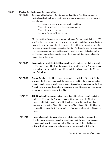## 707.07 **Medical Certification and Documentation**

- 707.07.01 **Documentation for Leave Due to Medical Condition.** The City may require medical certification from a health care provider to support a claim for leave for the following:
	- i. For the employee's own serious health condition
	- ii. To care for a seriously ill child, spouse, or parent
	- iii. To care for a service member
	- iv. For leave for a qualified exigency

Medical certifications must be returned to Human Resources within fifteen (15) working days. For the employee's own serious health condition, the certification must include a statement that the employee is unable to perform the essential functions of the position, and expected duration. For leave to care for a seriously ill child, spouse, or parent, qualified service member or qualified exigency the certification must include an estimate of the amount of time the employee is needed to provide care.

- 707.07.02 **Incomplete or Insufficient Certifications.** If the City determines that a medical certification provided for leave is incomplete or insufficient, the City may require the employee to cure deficiency and if the deficiency is not cured, the City may deny FMLA leave.
- 707.07.03 **Second Opinion**. If the City has reason to doubt the validity of the certification provided, the City may require, at the expense of the City, the employee obtain the opinion of a second health care provider designated or approved by the City. A health care provider designated or approved under this paragraph may not be employed on a regular basis by the City.
- 707.07.04 **Third Opinion.** If the second opinion described differs from the opinion in the original certification, the City may require, at the expense of the City, the employee obtain the opinion of a third health care provider designated or approved jointly by the City and the employee. The opinion of the third health care provider concerning this information is final and binding on the City and the employee.
- 707.07.05 If an employee submits a complete and sufficient certification in support of his or her leave because of a qualifying exigency, and the qualifying exigency involves meeting with a third party, the City may contact the individual or entity with whom the employee is meeting for purposes of verifying the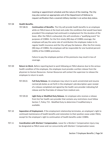meeting or appointment schedule and the nature of the meeting. The City may also contact an appropriate unit of the Department of Defense to request verification that a covered military member is on active duty status.

#### 707.08 **Health Benefits.**

707.08.01 **Continuation of Benefits.** The City will provide health benefits to an employee while on FMLA leave at the level and under the conditions that would have been provided if the employee had continued in employment for the duration of the leave. After the FMLA is exhausted, this will constitute a "qualifying event" for purposes of COBRA. For the first ninety (90) days of COBRA coverage, the employee will pay the same rate of contribution the employee makes to its regular health insurance and the City will pay the balance. After the first ninety (90) days of COBRA, the employee will be responsible for one hundred percent (100%) of the COBRA premiums.

> Failure to pay the employee portion of the premiums may result in loss of coverage.

- 707.09 **Return to Work.** Before reporting back to work following an FMLA absence due to the serious health condition of the employee, the employee must provide a written release from the physician to Human Resources. Human Resources will contact the supervisor to release the employee to return to work.
	- 707.09.01 **Full Duty Release.** An employee may return to work unrestricted and resume normal job duties as set forth in the employee's job description upon receipt of a release completed and signed by the health care provider indicating full release and the final date of release from medical care.
	- 707.09.02 **Light Duty or Modified Duty Release.** An employee who receives a release from his/ her health care provider that contains any restrictions must follow Section 7, Policy 715 - Modified Duty to determine if modified duty is available.
- 707.10 **Separation of Employment.** If the employment relationship terminates, an employee's right to continued maintenance of health benefits and restoration to their position cease under FMLA, except for the employee's right to continuation of health benefits under COBRA.
- 707.11 **Coordination with Workers' Compensation.** Leave for a Workers' Compensation injury may be designated as FMLA Leave and run concurrently with Workers' Compensation Leave.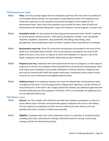## <span id="page-54-0"></span>708 Bereavement Leave

- 708.01 **Policy.** The City provides regular full-time employees paid time off in the event of a death(s) of an immediate family member, for the purpose of attending the funeral. The employee must notify their supervisor as soon possible and provide the length of time needed for the bereavement leave. Upon return the employee must provide the name, date of death and relationship to the deceased along with a copy of the obituary, funeral program, or prayer card.
- 708.02 **Immediate Family.** For the purpose of authorizing paid bereavement leave "family" is defined as current spouse, domestic partner, child, parent, grandparent, brother, sister, grandchild, stepchild, stepfather, stepmother, step-grandchild, half sibling, step-siblings, stepgrandparents, all corresponding in-laws and other residents of the household of an employee.
- 708.03 **Bereavement Leave Pay.** Three (3) consecutive working days are provided in the event of the death of an immediate family member. One (1) working day is provided in the event of the death of an aunt, uncle, niece, or nephew on either the employee's or spouse's side of the family. Employees will notate the familial relationship on their timesheet.
- 708.04 **Pregnancy Loss Pay.** Employees who have experienced the loss of a pregnancy or their spouse's pregnancy or the loss of an adoption will be provided three (3) consecutive working days. Upon returning to work employees must provide certification to human resources. Pregnancy loss also may be covered under FMLA with proper certification. Employees should contact human resources for more information and eligibility determination.
- 708.05 **Additional Leave.** If an employee requests more than the allowed days of bereavement leave or pregnancy loss leave, it must be approved by a Department Supervisor, and the Director of Human Resources. If the leave is for a longer period than allowed, any additional approved time off will be deducted from the employee's PTO Bank. If PTO is not available, the additional time may be approved without pay.

#### <span id="page-54-1"></span>709 Military Leave

- 709.01 **General.** The City complies with all federal and state laws relating to employees in reserve or active military status and does not discriminate against employees who serve in the military. The City supports its employees and their service in federal and state military units and provides them with a number of military leave benefits.
- 709.02 **Eligibility.** Employees who serve in the uniformed services in a voluntary or involuntary basis, including active duty, active duty for training, initial active duty for training, inactive duty training, and full-time National Guard duty.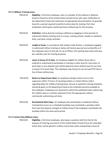#### 709.03 **Military Training Leave.**

- 709.03.01 **Eligibility.** A full-time employee, who is a member of the Indiana or National Guard or Reserves of the United States Armed Forces will, upon notification to the department head and submission of appropriate documentation, be granted leave for a period required to perform active duty for training. Part-time employees will be given authorized leave without pay for this purpose.
- 709.03.02 **Definition.** Active duty for training is defined as engaging in short periods of authorized military training such as cruises, training schools, weekly or weekend drills, and other similar activities.
- 709.03.03 **Length of Leave.** In accordance with Indiana Code Section, a employee engaged in authorized military training or duties will receive pay and accrue benefits as if the employee were on the job, for up to fifteen (15) working days leave with pay per calendar year for training purposes.
- 709.03.04 **Leave in Excess of 15 days.** An employee eligible for military leave who is ordered or authorized to participate in training or other duty for more than 15 work days in one calendar year will be placed on leave without pay for any time in excess of 15 work days. The employee may choose to use accrued PTO time in lieu of leave without pay.
- 709.03.05 **Notice to Department Head.** An employee will give notice to his or her supervisor within 72 hours of receiving written or verbal military orders regarding dates for military training leave. Annual or quarterly training schedules should be given to the department head as the schedules become available to the employee. Employees are required to submit the published order authorizing the military duty or a written statement from the appropriate military commander authorizing such duty.
- 709.03.06 **Rescheduled Work Days.** An employee who participates in weekend military training that occurs on a scheduled workday may reschedule a workday rather than have the absence charged to military leave if the employee reschedules the workday within the same work period.

#### 709.04 **Active-Duty Military Leave.**

709.04.01 **Eligibility.** A full-time employee, who leaves a position with the City for the purpose of entering any branch of the United States Armed Forces for extended active duty, will be placed in military active duty status and granted a leave of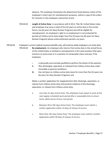absence. The employee should give the department head advance notice of the employee's intent and, for reemployment purposes, submit a copy of the orders for inclusion in the employee's personnel record.

- 709.04.02 **Length of Active Duty**. In accordance with § 4312, Title 38, United States Code, and employee may serve a total of five (5) years on active duty in the armed forces, (six (6) years for Navy Nuclear Program) and still be eligible for reemployment. An employee's right to re-employment is not protected for periods of military active duty longer than five (5) years (six (6) years for Navy Nuclear Program) whose initial enlistment period is six years.
- 709.04.03 Employee's current medical insurance benefits only, will continue while employee is on active duty. 709.04.04 **Re-employment.** An employee who returns from active duty in the armed forces of the United States is entitled to reemployment in the same position held upon entrance to active duty or in a position of comparable status and pay, if the employee:
	- i. Is physically and mentally qualified to perform the duties of the position;
	- **ii.** Was discharged, separated, or released from military active duty under honorable or general conditions;
	- **iii.** Has not been on military active duty leave for more than five (5) years (six (6) years for Navy Nuclear Program); and

Makes a written application for reappointment after discharge, separation, or release from military active duty and presents evidence of the discharge, separation, or release from military active duty:

- a. Less than 31 days Active Duty: The employee must report to work at the next regular scheduled work period after a reasonable time to return home safely and an 8-hour rest period.
- b. Between 30 to 181 days Active Duty: The employee must submit a written application within 14 days of release of service.
- c. More than 181 days Active Duty: The employee must submit a written application within 90 days of release of service.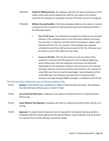- 709.04.05 **Credit for Military Service.** An employee with the City upon reemployment from military active duty will be allowed full credit for time spent in the military service for the purpose of computing seniority, PTO leave, and service longevity.
- 709.04.06 **Military Pay and Benefits.** A full-time employee called to active duty in a reserve component of the armed forces will be granted leave and employee benefits in the following manner:
	- **i. Use of Paid Leave.** The employee may request in writing to use any leave balances. If the employee elects to use these leave balances, the leave must be taken in amounts consistent with the employee's regular work schedule with the City. For example, if the employee was regularly scheduled to work forty (40) hours per week for the City, the leave must be used at a rate of forty (40) hours per week.
	- ii. **Insurance Benefits.** The City will continue to pay its portion of the employee's insurance benefits paid prior to the employee beginning active military duty, with the employee continuing to be financially responsible for the employee's portion of the premium for the selected coverage. Payment of insurance benefits will continue in this manner for ninety (90) days from the day the leave begins. Upon exhaustion of the ninety (90) days, the employee may then elect to continue health insurance coverage through COBRA coverage in compliance with the law.

## <span id="page-57-0"></span>710 Personal (Non-Medical) Leave of Absence without Pay

- 710.01 **General.** Leave without pay is granted as a matter of administrative discretion. No employee may demand leave without pay as a matter of right.
- 710.02 **Use of Accrued Paid Leave.** Employees must exhaust all paid leave prior to requesting leave without pay.
- 710.03 **Leave Without Pay Requests.** Employees who wish to request leave without pay must do so in writing.
- 710.04 **Approval.** An unpaid Leave of absence must be requested in writing and may be granted to employees with the written approval of the Elected Official. Leave of absence may be granted for a period of up to thirty (30) days and will be unpaid.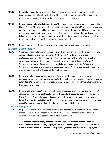- 710.05 **Benefit Coverage.** During an approved unpaid leave of absence, the employee's health insurance benefits will continue for thirty (30) days at the employee rate. The employee will be responsible for paying for their portion of the insurance premiums.
- 710.06 **Return to Work following Extended Leave.** The employee on the approved leave must notify his/her Elected Official of his/her intent to return to work at least two (2) weeks in advance. An employee who requests and is granted an extended leave without pay will have no guarantee of any job upon return to work but will be subject to the availability of that particular job. Failure to report for a work assignment at the designated return date specified will result in termination unless an extension is requested and approved.
- 710.07 Leave is not available for time away from work due to a conviction or jail sentence.

## <span id="page-58-0"></span>711 Worker's Compensation

- 711.01 **General.** All regular, temporary, seasonal, or part-time City employees who are injured in the course and scope of their employment with the City of New Haven are afforded the protections guaranteed by the Workers' Compensation laws of the State of Indiana. If an employee is injured on the job, he or she may be eligible for benefits under Workers' Compensation. Human Resources is responsible for administering the City's Worker's Compensation program, and questions regarding potential Workers' Compensation benefits should be directed to the Director of Human Resources.
- 711.02 **Reporting an Injury.** Any employee who sustains an on-the-job injury is required to immediately notify a supervisor and complete the First Report of Injury form. The form must be submitted it to Human Resources as soon as possible and no later than three (3) calendar days from the date of injury.
- 711.03 **Benefits Waiting Period.** Compensation benefits are subject to qualifications and a seven (7) calendar day waiting period. State law currently provides that compensation is to be paid for the first seven (7) calendar days of disability only if the employee's disability continues for longer than twenty-one (21) days. The first weekly installment of compensation for temporary disability benefits is due fourteen (14) days after the disability begins.

## <span id="page-58-1"></span>712 Breastfeeding Support

- 712.01 **Purpose.** As part of our family-friendly policies and benefits, the City of New Haven supports breastfeeding mothers by accommodating the mother who wishes to express breast milk during her workday when separated from her newborn child.
- 712.02 **Accommodation for Lactating Mothers.** Indiana Code provides that state and political subdivisions will provide for any employee who is breastfeeding her child, reasonable break times to express breast milk for her baby up to one year after the child's birth. Employees will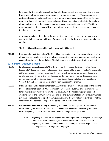be provided with a private place, other than a bathroom, that is shielded from view and free from intrusion from co-workers and the public, to express breast milk. The room can be a designated space for lactation. If this is not practical or possible, a vacant office, conference room, or other small area can be used so long as it is not accessible or visible to the public or other employees while the nursing employee is using the room to express milk. The City will make reasonable efforts to provide a refrigerator or other cold storage space for keeping milk that has been expressed.

All women who breast feed their child and need to express milk during the working day will work with their supervisor and Human Resources to determine how best to accommodate the employee.

The City will provide reasonable break times which will be paid.

712.03 **Discrimination and Retaliation.** The City will not suspend or terminate the employment of, or otherwise discriminate against, an employee because the employee has asserted her right to express breast milk in the workplace. Discrimination and retaliation are strictly prohibited.

## <span id="page-59-0"></span>713 Additional Employee Benefits

- 713.01 **Employee Assistance Program (EAP).** The City New Haven provides Employee Assistance Program (EAP) services to the employees and their household members. The EAP is to provide aid to employees in resolving problems that may affect job performance, attendance, and employee morale. Some of the broad categories that may be covered by this program are related to personal, family, marriage, legal, financial, and drug and alcoholism problems. Contact Human Resources for more information regarding this program.
- 713.02 **INPRS (Indiana Public Retirement System).** All full-time employees are covered by the Indiana Public Retirement System (INPRS). Membership will become automatic upon employment. Employees are required by state law to contribute 3% of their gross wages (regular and overtime pay) to their annuity saving account. Indiana law permits local unit of government to pay their employees 3% as a part of a wage adjustment. The City will pay this 3% for all full-time employees. (See departmental policy for police and fire retirement plans.)
- 713.03 **Group Health Insurance Plan(s).** Employee group health insurance plans are reviewed and determined by the Elected Officials. The Elected Officials will decide on which group health insurance plan(s) will be offered based on the City's budget for the plan year.
	- 713.03.03 **Eligibility.** All full-time employees and their dependents are eligible for coverage under the current employee group health and/or dental insurance plan beginning the first day of employment. A surcharge is applied if spouse has coverage available through their employer.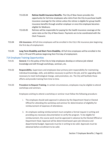- 713.03.04 **Retiree Health Insurance Benefits.** The City of New Haven provides the opportunity for full-time employees who retire from the City to purchase health insurance coverage for the retiree unless the retiree is eligible for group health insurance benefits through another employer or once the employee becomes eligible for Medicare.
- 713.03.05 Retirees will be responsible for paying for the health insurance coverage at the same rates as the City of New Haven. Payments are to be coordinated with the Clerk Treasurer.
- 713.04 **Life Insurance.** All full-time employees will be enrolled in the City's life insurance plan beginning the first day of employment.
- 713.05 **Long Term Disability and Short-Term Disability**. All full-time employees will be enrolled in the City's LTD and STD policies beginning their first day of employment.

## <span id="page-60-0"></span>714 Employee Training Opportunities

- 714.01 **General.** It is the policy of the City to help employees develop or enhance job related knowledge and skill through workshops, seminars, etc.
- 714.02 **Responsibility.** Supervisors and employees bear primary joint responsibility for maintaining individual knowledge, skills, and abilities necessary to perform the job, and for upgrading skills necessary to meet technological change, seek promotion, etc. The City will facilitate those efforts and provide training from time to time.
- 714.03 **Procedure to Request Training.** In certain circumstances, employees may be eligible to attend workshops and seminars.

Employees wishing to attend a workshop or seminar must follow the following procedure:

- i. The employee should seek approval in advance by the Department Head or Elected Official for attending the workshop and seminar for determination of eligibility for reimbursement of expenses of attendance.
- ii. An employee seeking reimbursement must complete a formal request in writing and providing any necessary documentation to verify the program. To be eligible for reimbursement, the course work must be approved in advance by the Elected Official or Department Head. Approval will be determined based upon job relevance and departmental budget. Approvals must be in writing to be valid. Approvals must be obtained before enrollment to be valid.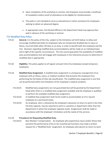- iii. Upon completion of the workshop or seminar, the Employee must provide a certificate of completion and/or proof of attendance to be eligible for reimbursement.
- iv. This policy is not intended to serve as educational or tuition assistance for employees seeking to obtain an advanced degree.
- v. In appropriate cases, the Elected Official or the Department Head may approve fees paid in advance of the workshop or seminar.

# <span id="page-61-0"></span>715 Modified Duty Policy

- 715.01 **General.** It is the policy of the City, subject to the limitations set forth below, to allow and encourage modified job duties to employees who are temporarily disabled due to injury or illness, incurred while either off-duty or on-duty, in order to benefit both the employee and the City. Decisions regarding modified duty accommodations will be made on an individual basis and in light of the specific circumstances. The City cannot guarantee the availability of modified duty accommodations but will engage with employees in the interactive process to determine if modified duty is appropriate.
- 715.02 **Eligibility.** This policy applies to all regular and part-time City employees except temporary employees.
- 715.03 **Modified Duty Assignment**. A modified duty assignment is a temporary reassignment of an employee with an illness, injury, or medical condition that prevents the employee from performing the full duties of their job classification. The modified duty assignment is one that can be performed within the limitations of the employee's medical condition.
	- 715.03.01 Modified duty assignments are not guaranteed but will be granted by the Department Head when there is a modified duty assignment available and the employee is qualified to perform the available modified duty assignment.
	- 715.03.02 A modified duty assignment shall not be made to accommodate an ill or injured employee on a permanent basis.
	- 715.03.03 An employee, who is released by the employee's physician to return to work in less than full duty capacity, may be required to work in a position or department other than the department in which the employee regularly works. Assignments shall be made in accordance with the employee's limitations and the needs of City services.

## 715.04 **Procedures for Requesting Modified Duty.**

715.04.01 Non-Workers' Compensation. An employee who experiences injury and/or illness that prevents the performance of his or her essential job functions may make a written request for a "Modified Duty" assignment. An employee who desires to return to work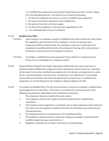in a modified duty assignment must provide Human Resources with a written release from the attending physician. The release must include the following:

- i. The date the employee may return to work in a modified duty assignment;
- ii. The type of restrictions imposed on the modified duty;
- iii. The period of time the restrictions apply;
- iv. The date of the employee's next physician's appointment; and
- vi. The anticipated date of return to full duty.

## 715.05 **Modified Duty Offer.**

- 715.05.01 Upon receipt of an employee request for Modified Duty, Human Resources shall review the capabilities and restrictions of the employee. A review of potential work assignments will be conducted with the employee's supervisor to determine if an assignment is available which matches the employee's training, skills and/or physical limitations as determined by the employee's physician.
	- 715.05.02 If available, a modified duty work assignment will be offered in writing by Human Resources to an employee for a temporary period.
- 715.06 Responsibilities of Department Heads. Department Heads shall work with supervisors to identify possible modified duty assignments when requested by Human Resources. Attempts will be made first to make modified duty assignments in the division and department in which the ill or injured employee currently works. If placement in the department is not possible, Human Resources will work with other City departments to determine if a modified duty assignment can be found based on the employee's physical abilities and skills.
- 715.07 Termination of Modified Duty. The City may terminate or amend an employee's modified duty work assignment at its discretion. Termination or amendments may be necessary in the following circumstances, depending on the individual circumstances:
	- i. The employee's physician modifies the work release;
	- ii. The employee is found to be capable of performing beyond the modified duty restrictions;
	- iii. The temporary work assignment is completed, and no work assignment exists within the City which suits the employee's abilities and meets the limitations documented by the treating physician;
	- iv. The employee performs unsatisfactorily in the modified position;
	- v. The employee's physician fails to release the employee as capable of performing the modified assignment upon examination; or
	- vi. Budgetary constraints do not allow continuation of modified duty.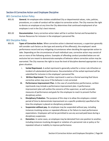# <span id="page-63-0"></span>Section 8 Corrective Action and Employee Discipline

## <span id="page-63-1"></span>801 Corrective Action Policy

- 801.01 **General.** An employee who violates established City or departmental values, rules, policies, procedures, or a code of conduct will be subject to corrective action. The City reserves the right to dismiss an employee at any time the City determines that continued employment of an employee is not in the City's best interest.
- 801.02 **Documentation**. Every corrective action taken will be in written format and forwarded to Human Resources for inclusion in the employee's personnel file.

## <span id="page-63-2"></span>802 Discipline Policy

- 802.01 **Types of Corrective Action.** When corrective action is deemed necessary, a supervisor generally will consider such factors as the type and severity of the offense(s), the employee's work performance record and any mitigating circumstances when deciding the appropriate action to take. Depending on the circumstances of each individual case, corrective action may consist of one or more of the following actions. Examples of offending conduct provided below are not exclusive but are meant to demonstrate examples of behavior where correction action may be warranted. The City reserves the right to issue the level of discipline deemed appropriate in any given situation.
	- i. **Verbal Reprimand.** A verbal reprimand is generally suited for a minor rule infraction or incident of substandard performance. Documentation of the verbal reprimand will be submitted for inclusion in the employee's personnel file.
	- ii. **Written Reprimand.** The written reprimand is used as a formal warning that future corrective action may occur if the behavior is not corrected.
	- **iii. Performance Improvement Plan.** In the case of unsatisfactory performance, written reprimands may include a performance improvement plan. A performance improvement plan will outline the concerns of the supervisor, as well as provide measures of performance and goals for the employee to reach to prevent further disciplinary action.
	- iv. **Disciplinary Probation.** The purpose of this step is to allow the employee a stated period of time to demonstrate improvement on a specific problem(s) specified at the time the employee is placed on disciplinary probation.
	- v. **Suspension without pay.** An employee may be suspended without pay, including instances involving serious or repeated offenses or for failure to meet performance expectations. Employees will not be permitted to use any accrued paid leave during a disciplinary suspension.
	- vi. **Demotion.** In some cases, an employee may be demoted from one position to another, including instances involving disregard or violation of a personnel rule or policy or for repeated refusal or inability to improve performance.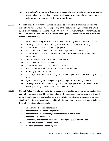- vii. **Involuntary Termination of Employment**. An employee may be involuntarily terminated from employment, including for a serious disregard or violation of a personnel rule or policy or for continued inability to improve performance.
- 802.02 **Group I Rules.** The following behaviors are examples of prohibited employee conduct and are generally viewed as Group I Rules. Depending on the circumstances, a violation of a Group I rule typically will result in the employee being relieved from duty without pay for three (3) to five (5) days and may be subject to discharge pending review. These acts include, but are not limited to the following:
	- i. Intoxication or drug abuse while on duty or while in City uniform or on City property
	- ii. The illegal use or possession of any controlled substance, narcotic, or drug
	- iii. Unauthorized use of public funds or property
	- iv. Falsification of documents or records, including fraudulent timekeeping.
	- v. Unauthorized use of official information or unauthorized disclosure of confidential information.
	- vi. Theft or Destruction of City or Personal property
	- vii. Conviction of official misconduct.
	- viii. Unauthorized or abusive use of official authority.
	- ix. Gross insubordination, or refusal to perform work assigned.
	- x. Accepting gratuities or bribes
	- xi. Coercion, intimidation, or threats against citizens, supervisors, co-workers, City officials, or others.
	- xii. Fighting, horseplay, provoking or instigating a fight, or threatening violence.
	- xiii. Carrying firearms or weapons of any kind onto City property and into the workplace unless specifically allowed by law enforcement officers.
- 802.03 **Group II Rules.** The following behaviors are examples of prohibited employee conduct and are generally viewed as Group II Rules. Depending on the circumstances, a violation of a Group II rule will result in employee discipline up to and including termination in the case of continual violation. This list is representational and is not intended to outline every example of behavior that will result in employee discipline.
	- i. Excessive unscheduled absenteeism
	- ii. Repeated tardiness or early departure
	- iii. Repeated tardiness to meetings or other required work events
	- iv. Repeated abuse of sick leave
	- v. Endangering the safety of other persons through negligent or willful acts
	- vi. Discourteous treatment of the public
	- vii. Violation of dress and grooming standards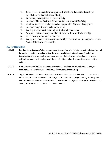- viii. Refusal or failure to perform assigned work after being directed to do so, by an immediate supervisor or higher authority
- ix. Inefficiency, incompetence or neglect of duty
- x. Violation of Phone, Electronic Communication and Internet Use Policy
- xi. Unauthorized use of telephones, technology, or other City-owned equipment
- xii. Violation of departmental policy or procedure
- xiii. Smoking or use of nicotine or e-cigarettes in prohibited areas
- xiv. Engaging in outside employment that interferes with the duties for the City
- xv. Unsatisfactory performance or conduct
- xvi. Sharing of username and password for any City account without prior approval from an Elected Official or Department Head.

## <span id="page-65-0"></span>803 Investigations

- 803.01 **Pending Investigations**. When an employee is suspected of a violation of a city, state or federal law, rule, regulation, or policy which, if proven, would justify disciplinary action but an investigation is in progress, the employee may be administratively placed on leave with or without pay pending the outcome of the investigation and or the imposition of corrective action.
- 803.02 **Human Resources Review.** Any corrective action involving time off, reduction in pay, or termination will be discussed with Human Resources prior to acting.
- 803.03 **Right to Appeal.** Full-Time employees dissatisfied with any corrective action that results in a written reprimand, suspension, demotion, or termination of employment may file an appeal with Human Resources. All appeals must be filed within five (5) business days of the corrective action, or the corrective action will be deemed final.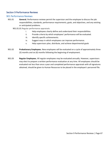# <span id="page-66-0"></span>Section 9 Performance Reviews

## <span id="page-66-1"></span>901 Performance Reviews

- 901.01 **General.** Performance reviews permit the supervisor and the employee to discuss the job responsibilities, standards, performance requirements, goals, and objectives, and any existing or anticipated problems.
	- 901.01.01 Regular performance appraisals:
		- i. Help employees clearly define and understand their responsibilities.
		- ii. Provide criteria by which employees' performance will be evaluated.
		- iii. Identify specific achievements.
		- iv. Suggest ways in which employees can improve performance.
		- v. Help supervisors plan, distribute, and achieve departmental goals
- 901.02 **Probationary Employees.** New employees will be evaluated on a cycle of approximately three (3) months and six (6) months following the beginning of employment.
- 901.03 **Regular Employees.** All regular employees may be evaluated annually. However, supervisors may elect to prepare a written performance evaluation at any time. All employees should be evaluated not less than once a year and completed performance appraisals with all signatures obtained, should be given to Human Resources to be placed in the employee's personnel file.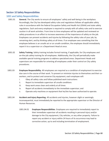# <span id="page-67-0"></span>Section 10 Safety Responsibilities

# <span id="page-67-1"></span>1001 and Safety Responsibilities

- 1001.01 **General.** The City works to ensure all employees' safety and well-being in the workplace. Accordingly, the City has developed safety rules and regulations follows all applicable safety rules in accordance with the federal Occupation Safety and Health Act (OSHA) and state safety regulations. Each and every employee is required to comply with all safety rules and to exercise caution in all work activities. From time to time employees will be updated and reviewed on safety procedures in an effort to increase awareness of the importance of safety on the job. Employees can prevent accidents and injuries by following the safety rules of your job, by remaining alert, and by thinking safety at all times. If an employee sees something that the employee believes is an unsafe act or an unsafe condition, the employee should immediately report it to a supervisor or a Department Head at once.
- 1001.02 **Safety Training.** Safety training includes formal training, if applicable, for City employees and on-the-job safety training for all employees. Additionally, the City will periodically make available special training programs to address specialized areas. Department Heads and supervisors are responsible for orienting all employees under their control on City safety procedures.
- 1001.03 **Employee Responsibility.** All employees are required as a condition of employment to exercise due care in the course of their work. To prevent or minimize injuries to themselves and their coworkers, and to protect and conserve City equipment, each employee will:
	- i. Obey all safety rules and follow published work instructions
	- ii. Report to immediate supervisor all unsafe conditions
	- iii. Keep work areas clean and orderly at all times
	- iv. Report all accidents immediately to the immediate supervisor; and
	- v. Operate only machines or equipment that he/she has been authorized to operate.
- 1001.04 **Accident and Injury Reporting.** All accidents and injuries, however slight or seemingly inconsequential, must immediately be reported to the appropriate supervisor or the Director of Human Resources.
	- 1001.04.01 **Employee Responsibilities**. Employees are required to immediately report to their immediate supervisor all accidents resulting in personal injury and/or damage to the City equipment, City vehicles, or any other property. Failure to report any accident or injury within 24 hours of its occurrence may lead to corrective action, up to and including termination of employment.